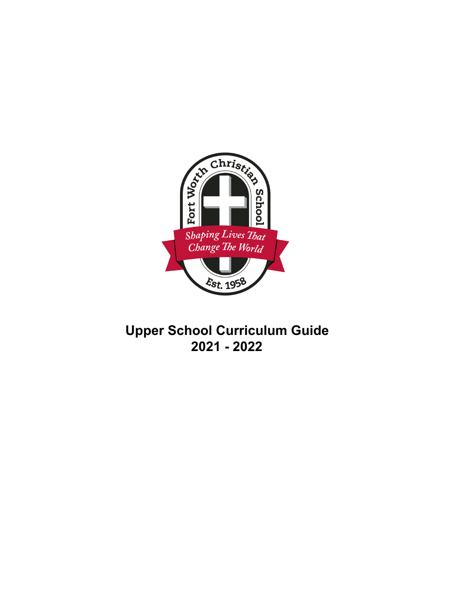

# **Upper School Curriculum Guide 2021 - 2022**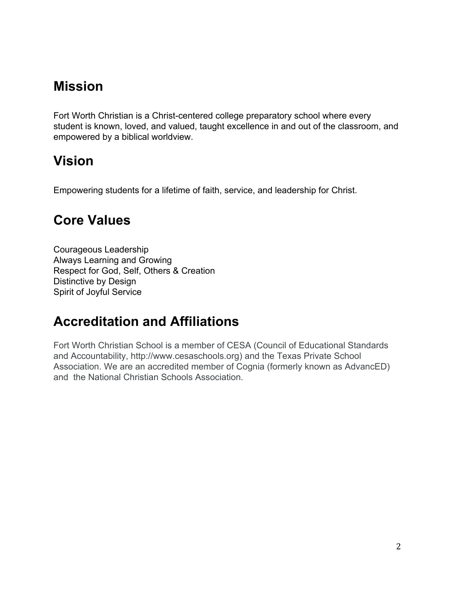# **Mission**

Fort Worth Christian is a Christ-centered college preparatory school where every student is known, loved, and valued, taught excellence in and out of the classroom, and empowered by a biblical worldview.

# **Vision**

Empowering students for a lifetime of faith, service, and leadership for Christ.

# **Core Values**

Courageous Leadership Always Learning and Growing Respect for God, Self, Others & Creation Distinctive by Design Spirit of Joyful Service

# **Accreditation and Affiliations**

Fort Worth Christian School is a member of CESA (Council of Educational Standards and Accountability, http://www.cesaschools.org) and the Texas Private School Association. We are an accredited member of Cognia (formerly known as AdvancED) and the National Christian Schools Association.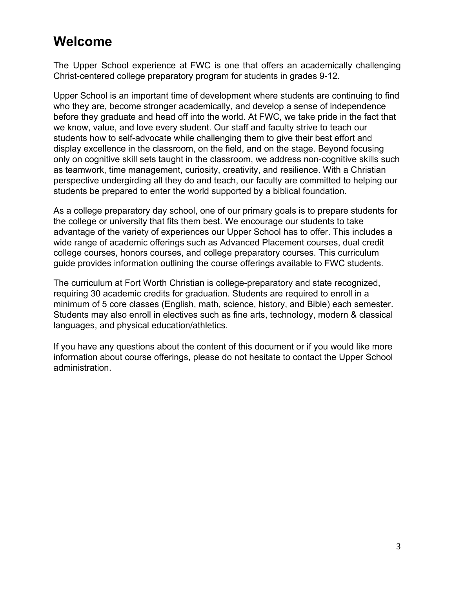# **Welcome**

The Upper School experience at FWC is one that offers an academically challenging Christ-centered college preparatory program for students in grades 9-12.

Upper School is an important time of development where students are continuing to find who they are, become stronger academically, and develop a sense of independence before they graduate and head off into the world. At FWC, we take pride in the fact that we know, value, and love every student. Our staff and faculty strive to teach our students how to self-advocate while challenging them to give their best effort and display excellence in the classroom, on the field, and on the stage. Beyond focusing only on cognitive skill sets taught in the classroom, we address non-cognitive skills such as teamwork, time management, curiosity, creativity, and resilience. With a Christian perspective undergirding all they do and teach, our faculty are committed to helping our students be prepared to enter the world supported by a biblical foundation.

As a college preparatory day school, one of our primary goals is to prepare students for the college or university that fits them best. We encourage our students to take advantage of the variety of experiences our Upper School has to offer. This includes a wide range of academic offerings such as Advanced Placement courses, dual credit college courses, honors courses, and college preparatory courses. This curriculum guide provides information outlining the course offerings available to FWC students.

The curriculum at Fort Worth Christian is college-preparatory and state recognized, requiring 30 academic credits for graduation. Students are required to enroll in a minimum of 5 core classes (English, math, science, history, and Bible) each semester. Students may also enroll in electives such as fine arts, technology, modern & classical languages, and physical education/athletics.

If you have any questions about the content of this document or if you would like more information about course offerings, please do not hesitate to contact the Upper School administration.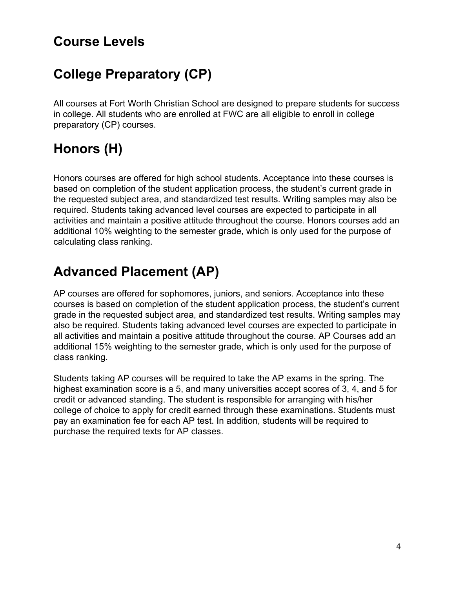# **Course Levels**

# **College Preparatory (CP)**

All courses at Fort Worth Christian School are designed to prepare students for success in college. All students who are enrolled at FWC are all eligible to enroll in college preparatory (CP) courses.

# **Honors (H)**

Honors courses are offered for high school students. Acceptance into these courses is based on completion of the student application process, the student's current grade in the requested subject area, and standardized test results. Writing samples may also be required. Students taking advanced level courses are expected to participate in all activities and maintain a positive attitude throughout the course. Honors courses add an additional 10% weighting to the semester grade, which is only used for the purpose of calculating class ranking.

# **Advanced Placement (AP)**

AP courses are offered for sophomores, juniors, and seniors. Acceptance into these courses is based on completion of the student application process, the student's current grade in the requested subject area, and standardized test results. Writing samples may also be required. Students taking advanced level courses are expected to participate in all activities and maintain a positive attitude throughout the course. AP Courses add an additional 15% weighting to the semester grade, which is only used for the purpose of class ranking.

Students taking AP courses will be required to take the AP exams in the spring. The highest examination score is a 5, and many universities accept scores of 3, 4, and 5 for credit or advanced standing. The student is responsible for arranging with his/her college of choice to apply for credit earned through these examinations. Students must pay an examination fee for each AP test. In addition, students will be required to purchase the required texts for AP classes.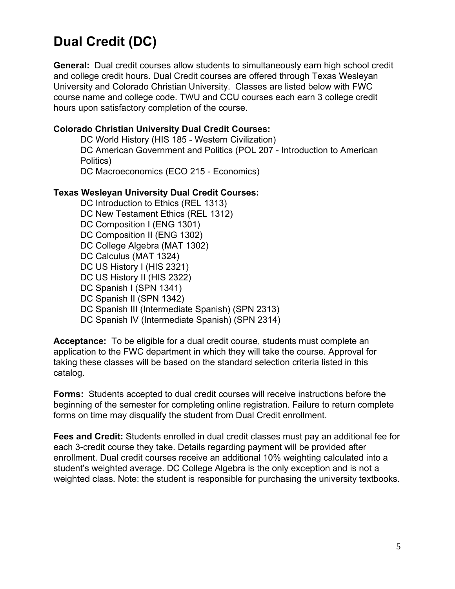# **Dual Credit (DC)**

**General:** Dual credit courses allow students to simultaneously earn high school credit and college credit hours. Dual Credit courses are offered through Texas Wesleyan University and Colorado Christian University. Classes are listed below with FWC course name and college code. TWU and CCU courses each earn 3 college credit hours upon satisfactory completion of the course.

#### **Colorado Christian University Dual Credit Courses:**

DC World History (HIS 185 - Western Civilization) DC American Government and Politics (POL 207 - Introduction to American Politics) DC Macroeconomics (ECO 215 - Economics)

#### **Texas Wesleyan University Dual Credit Courses:**

DC Introduction to Ethics (REL 1313) DC New Testament Ethics (REL 1312) DC Composition I (ENG 1301) DC Composition II (ENG 1302) DC College Algebra (MAT 1302) DC Calculus (MAT 1324) DC US History I (HIS 2321) DC US History II (HIS 2322) DC Spanish I (SPN 1341) DC Spanish II (SPN 1342) DC Spanish III (Intermediate Spanish) (SPN 2313) DC Spanish IV (Intermediate Spanish) (SPN 2314)

**Acceptance:** To be eligible for a dual credit course, students must complete an application to the FWC department in which they will take the course. Approval for taking these classes will be based on the standard selection criteria listed in this catalog.

**Forms:** Students accepted to dual credit courses will receive instructions before the beginning of the semester for completing online registration. Failure to return complete forms on time may disqualify the student from Dual Credit enrollment.

**Fees and Credit:** Students enrolled in dual credit classes must pay an additional fee for each 3-credit course they take. Details regarding payment will be provided after enrollment. Dual credit courses receive an additional 10% weighting calculated into a student's weighted average. DC College Algebra is the only exception and is not a weighted class. Note: the student is responsible for purchasing the university textbooks.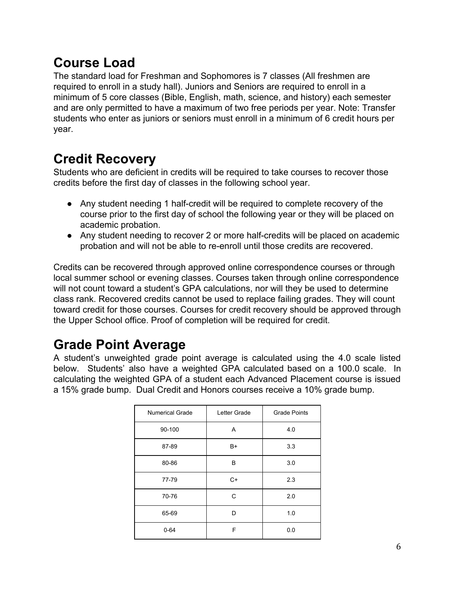# **Course Load**

The standard load for Freshman and Sophomores is 7 classes (All freshmen are required to enroll in a study hall). Juniors and Seniors are required to enroll in a minimum of 5 core classes (Bible, English, math, science, and history) each semester and are only permitted to have a maximum of two free periods per year. Note: Transfer students who enter as juniors or seniors must enroll in a minimum of 6 credit hours per year.

# **Credit Recovery**

Students who are deficient in credits will be required to take courses to recover those credits before the first day of classes in the following school year.

- Any student needing 1 half-credit will be required to complete recovery of the course prior to the first day of school the following year or they will be placed on academic probation.
- Any student needing to recover 2 or more half-credits will be placed on academic probation and will not be able to re-enroll until those credits are recovered.

Credits can be recovered through approved online correspondence courses or through local summer school or evening classes. Courses taken through online correspondence will not count toward a student's GPA calculations, nor will they be used to determine class rank. Recovered credits cannot be used to replace failing grades. They will count toward credit for those courses. Courses for credit recovery should be approved through the Upper School office. Proof of completion will be required for credit.

# **Grade Point Average**

A student's unweighted grade point average is calculated using the 4.0 scale listed below. Students' also have a weighted GPA calculated based on a 100.0 scale. In calculating the weighted GPA of a student each Advanced Placement course is issued a 15% grade bump. Dual Credit and Honors courses receive a 10% grade bump.

| <b>Numerical Grade</b> | Letter Grade | <b>Grade Points</b> |
|------------------------|--------------|---------------------|
| 90-100                 | Α            | 4.0                 |
| 87-89                  | B+           | 3.3                 |
| 80-86                  | В            | 3.0                 |
| 77-79                  | C+           | 2.3                 |
| 70-76                  | C            | 2.0                 |
| 65-69                  | D            | 1.0                 |
| $0 - 64$               | F            | 0.0                 |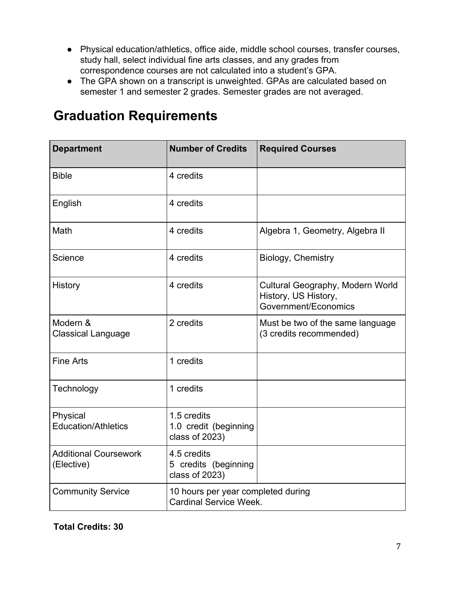- Physical education/athletics, office aide, middle school courses, transfer courses, study hall, select individual fine arts classes, and any grades from correspondence courses are not calculated into a student's GPA.
- The GPA shown on a transcript is unweighted. GPAs are calculated based on semester 1 and semester 2 grades. Semester grades are not averaged.

| <b>Department</b>                          | <b>Number of Credits</b>                                            | <b>Required Courses</b>                                                          |
|--------------------------------------------|---------------------------------------------------------------------|----------------------------------------------------------------------------------|
| <b>Bible</b>                               | 4 credits                                                           |                                                                                  |
| English                                    | 4 credits                                                           |                                                                                  |
| Math                                       | 4 credits                                                           | Algebra 1, Geometry, Algebra II                                                  |
| Science                                    | 4 credits                                                           | Biology, Chemistry                                                               |
| History                                    | 4 credits                                                           | Cultural Geography, Modern World<br>History, US History,<br>Government/Economics |
| Modern &<br><b>Classical Language</b>      | 2 credits                                                           | Must be two of the same language<br>(3 credits recommended)                      |
| <b>Fine Arts</b>                           | 1 credits                                                           |                                                                                  |
| Technology                                 | 1 credits                                                           |                                                                                  |
| Physical<br><b>Education/Athletics</b>     | 1.5 credits<br>1.0 credit (beginning<br>class of 2023)              |                                                                                  |
| <b>Additional Coursework</b><br>(Elective) | 4.5 credits<br>5 credits (beginning<br>class of 2023)               |                                                                                  |
| <b>Community Service</b>                   | 10 hours per year completed during<br><b>Cardinal Service Week.</b> |                                                                                  |

# **Graduation Requirements**

**Total Credits: 30**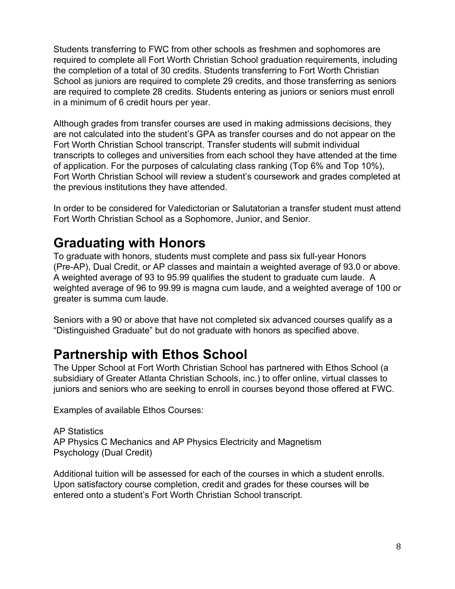Students transferring to FWC from other schools as freshmen and sophomores are required to complete all Fort Worth Christian School graduation requirements, including the completion of a total of 30 credits. Students transferring to Fort Worth Christian School as juniors are required to complete 29 credits, and those transferring as seniors are required to complete 28 credits. Students entering as juniors or seniors must enroll in a minimum of 6 credit hours per year.

Although grades from transfer courses are used in making admissions decisions, they are not calculated into the student's GPA as transfer courses and do not appear on the Fort Worth Christian School transcript. Transfer students will submit individual transcripts to colleges and universities from each school they have attended at the time of application. For the purposes of calculating class ranking (Top 6% and Top 10%), Fort Worth Christian School will review a student's coursework and grades completed at the previous institutions they have attended.

In order to be considered for Valedictorian or Salutatorian a transfer student must attend Fort Worth Christian School as a Sophomore, Junior, and Senior.

# **Graduating with Honors**

To graduate with honors, students must complete and pass six full-year Honors (Pre-AP), Dual Credit, or AP classes and maintain a weighted average of 93.0 or above. A weighted average of 93 to 95.99 qualifies the student to graduate cum laude. A weighted average of 96 to 99.99 is magna cum laude, and a weighted average of 100 or greater is summa cum laude.

Seniors with a 90 or above that have not completed six advanced courses qualify as a "Distinguished Graduate" but do not graduate with honors as specified above.

# **Partnership with Ethos School**

The Upper School at Fort Worth Christian School has partnered with Ethos School (a subsidiary of Greater Atlanta Christian Schools, inc.) to offer online, virtual classes to juniors and seniors who are seeking to enroll in courses beyond those offered at FWC.

Examples of available Ethos Courses:

AP Statistics AP Physics C Mechanics and AP Physics Electricity and Magnetism Psychology (Dual Credit)

Additional tuition will be assessed for each of the courses in which a student enrolls. Upon satisfactory course completion, credit and grades for these courses will be entered onto a student's Fort Worth Christian School transcript.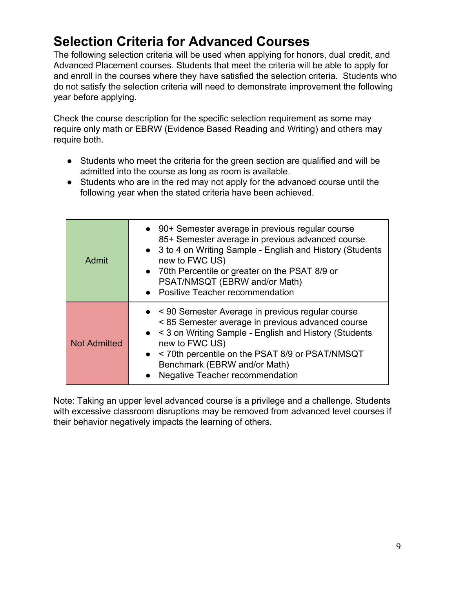# **Selection Criteria for Advanced Courses**

The following selection criteria will be used when applying for honors, dual credit, and Advanced Placement courses. Students that meet the criteria will be able to apply for and enroll in the courses where they have satisfied the selection criteria. Students who do not satisfy the selection criteria will need to demonstrate improvement the following year before applying.

Check the course description for the specific selection requirement as some may require only math or EBRW (Evidence Based Reading and Writing) and others may require both.

- Students who meet the criteria for the green section are qualified and will be admitted into the course as long as room is available.
- Students who are in the red may not apply for the advanced course until the following year when the stated criteria have been achieved.

| Admit               | • 90+ Semester average in previous regular course<br>85+ Semester average in previous advanced course<br>• 3 to 4 on Writing Sample - English and History (Students<br>new to FWC US)<br>• 70th Percentile or greater on the PSAT 8/9 or<br>PSAT/NMSQT (EBRW and/or Math)<br>• Positive Teacher recommendation |
|---------------------|----------------------------------------------------------------------------------------------------------------------------------------------------------------------------------------------------------------------------------------------------------------------------------------------------------------|
| <b>Not Admitted</b> | • < 90 Semester Average in previous regular course<br><85 Semester average in previous advanced course<br>• < 3 on Writing Sample - English and History (Students<br>new to FWC US)<br>• < 70th percentile on the PSAT 8/9 or PSAT/NMSQT<br>Benchmark (EBRW and/or Math)<br>• Negative Teacher recommendation  |

Note: Taking an upper level advanced course is a privilege and a challenge. Students with excessive classroom disruptions may be removed from advanced level courses if their behavior negatively impacts the learning of others.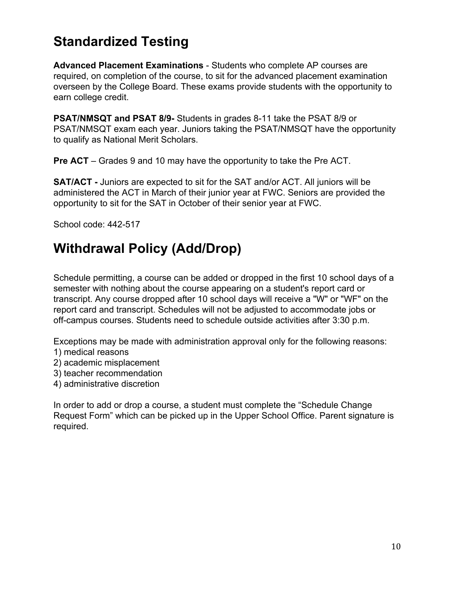# **Standardized Testing**

**Advanced Placement Examinations** - Students who complete AP courses are required, on completion of the course, to sit for the advanced placement examination overseen by the College Board. These exams provide students with the opportunity to earn college credit.

**PSAT/NMSQT and PSAT 8/9-** Students in grades 8-11 take the PSAT 8/9 or PSAT/NMSQT exam each year. Juniors taking the PSAT/NMSQT have the opportunity to qualify as National Merit Scholars.

**Pre ACT** – Grades 9 and 10 may have the opportunity to take the Pre ACT.

**SAT/ACT -** Juniors are expected to sit for the SAT and/or ACT. All juniors will be administered the ACT in March of their junior year at FWC. Seniors are provided the opportunity to sit for the SAT in October of their senior year at FWC.

School code: 442-517

# **Withdrawal Policy (Add/Drop)**

Schedule permitting, a course can be added or dropped in the first 10 school days of a semester with nothing about the course appearing on a student's report card or transcript. Any course dropped after 10 school days will receive a "W" or "WF" on the report card and transcript. Schedules will not be adjusted to accommodate jobs or off-campus courses. Students need to schedule outside activities after 3:30 p.m.

Exceptions may be made with administration approval only for the following reasons: 1) medical reasons

- 2) academic misplacement
- 3) teacher recommendation
- 4) administrative discretion

In order to add or drop a course, a student must complete the "Schedule Change Request Form" which can be picked up in the Upper School Office. Parent signature is required.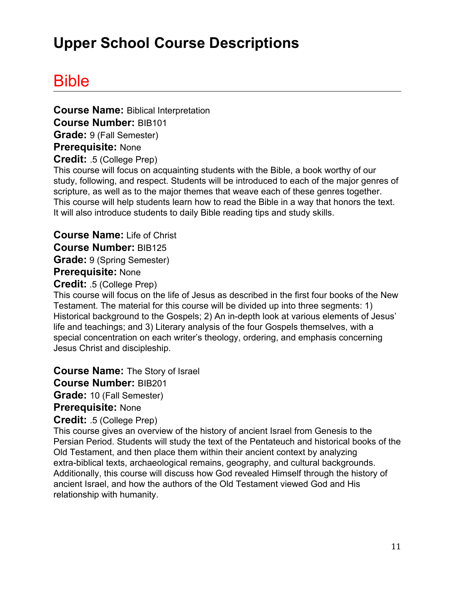# **Upper School Course Descriptions**

# Bible

**Course Name:** Biblical Interpretation **Course Number:** BIB101 **Grade:** 9 (Fall Semester) **Prerequisite:** None **Credit:** .5 (College Prep)

This course will focus on acquainting students with the Bible, a book worthy of our study, following, and respect. Students will be introduced to each of the major genres of scripture, as well as to the major themes that weave each of these genres together. This course will help students learn how to read the Bible in a way that honors the text. It will also introduce students to daily Bible reading tips and study skills.

**Course Name:** Life of Christ **Course Number:** BIB125 **Grade:** 9 (Spring Semester) **Prerequisite:** None

**Credit:** .5 (College Prep)

This course will focus on the life of Jesus as described in the first four books of the New Testament. The material for this course will be divided up into three segments: 1) Historical background to the Gospels; 2) An in-depth look at various elements of Jesus' life and teachings; and 3) Literary analysis of the four Gospels themselves, with a special concentration on each writer's theology, ordering, and emphasis concerning Jesus Christ and discipleship.

**Course Name:** The Story of Israel

**Course Number:** BIB201

**Grade:** 10 (Fall Semester)

**Prerequisite:** None

**Credit:** .5 (College Prep)

This course gives an overview of the history of ancient Israel from Genesis to the Persian Period. Students will study the text of the Pentateuch and historical books of the Old Testament, and then place them within their ancient context by analyzing extra-biblical texts, archaeological remains, geography, and cultural backgrounds. Additionally, this course will discuss how God revealed Himself through the history of ancient Israel, and how the authors of the Old Testament viewed God and His relationship with humanity.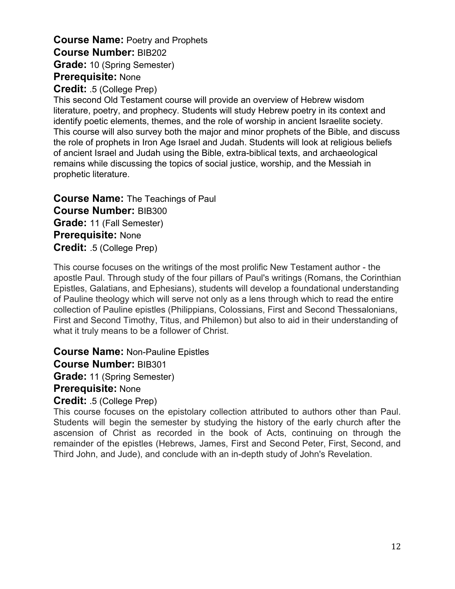# **Course Name:** Poetry and Prophets **Course Number:** BIB202 **Grade:** 10 (Spring Semester) **Prerequisite:** None

#### **Credit:** .5 (College Prep)

This second Old Testament course will provide an overview of Hebrew wisdom literature, poetry, and prophecy. Students will study Hebrew poetry in its context and identify poetic elements, themes, and the role of worship in ancient Israelite society. This course will also survey both the major and minor prophets of the Bible, and discuss the role of prophets in Iron Age Israel and Judah. Students will look at religious beliefs of ancient Israel and Judah using the Bible, extra-biblical texts, and archaeological remains while discussing the topics of social justice, worship, and the Messiah in prophetic literature.

**Course Name:** The Teachings of Paul **Course Number:** BIB300 **Grade:** 11 (Fall Semester) **Prerequisite:** None **Credit:** .5 (College Prep)

This course focuses on the writings of the most prolific New Testament author - the apostle Paul. Through study of the four pillars of Paul's writings (Romans, the Corinthian Epistles, Galatians, and Ephesians), students will develop a foundational understanding of Pauline theology which will serve not only as a lens through which to read the entire collection of Pauline epistles (Philippians, Colossians, First and Second Thessalonians, First and Second Timothy, Titus, and Philemon) but also to aid in their understanding of what it truly means to be a follower of Christ.

#### **Course Name:** Non-Pauline Epistles

#### **Course Number:** BIB301

**Grade:** 11 (Spring Semester)

#### **Prerequisite:** None

#### **Credit:** .5 (College Prep)

This course focuses on the epistolary collection attributed to authors other than Paul. Students will begin the semester by studying the history of the early church after the ascension of Christ as recorded in the book of Acts, continuing on through the remainder of the epistles (Hebrews, James, First and Second Peter, First, Second, and Third John, and Jude), and conclude with an in-depth study of John's Revelation.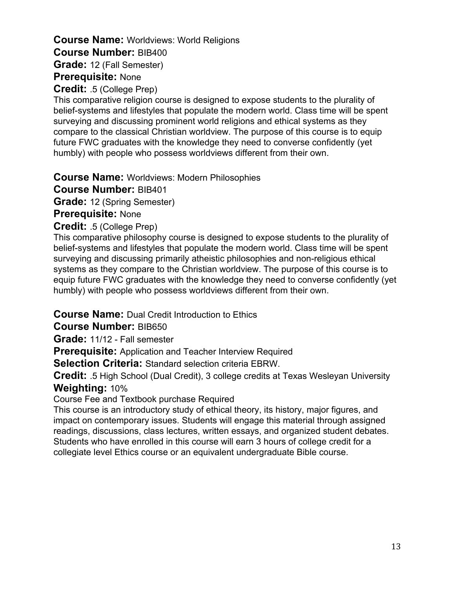# **Course Name:** Worldviews: World Religions **Course Number:** BIB400 **Grade:** 12 (Fall Semester)

# **Prerequisite:** None

**Credit:** .5 (College Prep)

This comparative religion course is designed to expose students to the plurality of belief-systems and lifestyles that populate the modern world. Class time will be spent surveying and discussing prominent world religions and ethical systems as they compare to the classical Christian worldview. The purpose of this course is to equip future FWC graduates with the knowledge they need to converse confidently (yet humbly) with people who possess worldviews different from their own.

**Course Name:** Worldviews: Modern Philosophies

**Course Number:** BIB401

**Grade:** 12 (Spring Semester)

**Prerequisite:** None

**Credit:** .5 (College Prep)

This comparative philosophy course is designed to expose students to the plurality of belief-systems and lifestyles that populate the modern world. Class time will be spent surveying and discussing primarily atheistic philosophies and non-religious ethical systems as they compare to the Christian worldview. The purpose of this course is to equip future FWC graduates with the knowledge they need to converse confidently (yet humbly) with people who possess worldviews different from their own.

#### **Course Name:** Dual Credit Introduction to Ethics

**Course Number:** BIB650

**Grade:** 11/12 - Fall semester

**Prerequisite:** Application and Teacher Interview Required

**Selection Criteria:** Standard selection criteria EBRW.

**Credit:** .5 High School (Dual Credit), 3 college credits at Texas Wesleyan University **Weighting:** 10%

Course Fee and Textbook purchase Required

This course is an introductory study of ethical theory, its history, major figures, and impact on contemporary issues. Students will engage this material through assigned readings, discussions, class lectures, written essays, and organized student debates. Students who have enrolled in this course will earn 3 hours of college credit for a collegiate level Ethics course or an equivalent undergraduate Bible course.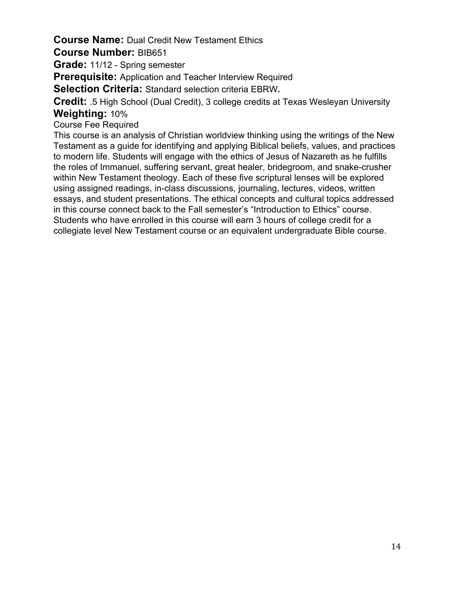# **Course Name:** Dual Credit New Testament Ethics

#### **Course Number:** BIB651

**Grade:** 11/12 - Spring semester

**Prerequisite:** Application and Teacher Interview Required

**Selection Criteria:** Standard selection criteria EBRW**.**

**Credit:** .5 High School (Dual Credit), 3 college credits at Texas Wesleyan University **Weighting:** 10%

Course Fee Required

This course is an analysis of Christian worldview thinking using the writings of the New Testament as a guide for identifying and applying Biblical beliefs, values, and practices to modern life. Students will engage with the ethics of Jesus of Nazareth as he fulfills the roles of Immanuel, suffering servant, great healer, bridegroom, and snake-crusher within New Testament theology. Each of these five scriptural lenses will be explored using assigned readings, in-class discussions, journaling, lectures, videos, written essays, and student presentations. The ethical concepts and cultural topics addressed in this course connect back to the Fall semester's "Introduction to Ethics" course. Students who have enrolled in this course will earn 3 hours of college credit for a collegiate level New Testament course or an equivalent undergraduate Bible course.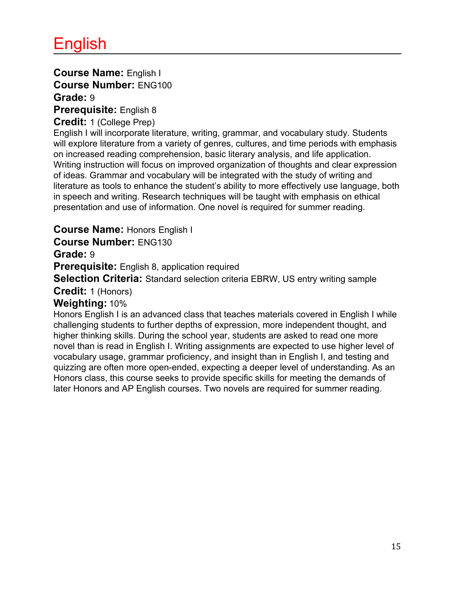# **Course Name:** English I **Course Number:** ENG100 **Grade:** 9

**Prerequisite:** English 8

#### **Credit:** 1 (College Prep)

English I will incorporate literature, writing, grammar, and vocabulary study. Students will explore literature from a variety of genres, cultures, and time periods with emphasis on increased reading comprehension, basic literary analysis, and life application. Writing instruction will focus on improved organization of thoughts and clear expression of ideas. Grammar and vocabulary will be integrated with the study of writing and literature as tools to enhance the student's ability to more effectively use language, both in speech and writing. Research techniques will be taught with emphasis on ethical presentation and use of information. One novel is required for summer reading.

**Course Name:** Honors English I

**Course Number:** ENG130

**Grade:** 9

**Prerequisite:** English 8, application required

**Selection Criteria:** Standard selection criteria EBRW, US entry writing sample

#### **Credit:** 1 (Honors)

## **Weighting:** 10%

Honors English I is an advanced class that teaches materials covered in English I while challenging students to further depths of expression, more independent thought, and higher thinking skills. During the school year, students are asked to read one more novel than is read in English I. Writing assignments are expected to use higher level of vocabulary usage, grammar proficiency, and insight than in English I, and testing and quizzing are often more open-ended, expecting a deeper level of understanding. As an Honors class, this course seeks to provide specific skills for meeting the demands of later Honors and AP English courses. Two novels are required for summer reading.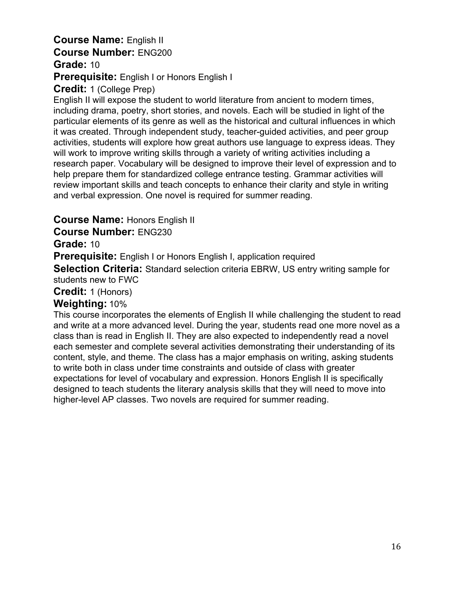#### **Course Name:** English II **Course Number:** ENG200 **Grade:** 10

# **Prerequisite:** English I or Honors English I

# **Credit:** 1 (College Prep)

English II will expose the student to world literature from ancient to modern times, including drama, poetry, short stories, and novels. Each will be studied in light of the particular elements of its genre as well as the historical and cultural influences in which it was created. Through independent study, teacher-guided activities, and peer group activities, students will explore how great authors use language to express ideas. They will work to improve writing skills through a variety of writing activities including a research paper. Vocabulary will be designed to improve their level of expression and to help prepare them for standardized college entrance testing. Grammar activities will review important skills and teach concepts to enhance their clarity and style in writing and verbal expression. One novel is required for summer reading.

# **Course Name:** Honors English II

## **Course Number:** ENG230

## **Grade:** 10

**Prerequisite:** English I or Honors English I, application required

**Selection Criteria:** Standard selection criteria EBRW, US entry writing sample for students new to FWC

#### **Credit:** 1 (Honors)

# **Weighting:** 10%

This course incorporates the elements of English II while challenging the student to read and write at a more advanced level. During the year, students read one more novel as a class than is read in English II. They are also expected to independently read a novel each semester and complete several activities demonstrating their understanding of its content, style, and theme. The class has a major emphasis on writing, asking students to write both in class under time constraints and outside of class with greater expectations for level of vocabulary and expression. Honors English II is specifically designed to teach students the literary analysis skills that they will need to move into higher-level AP classes. Two novels are required for summer reading.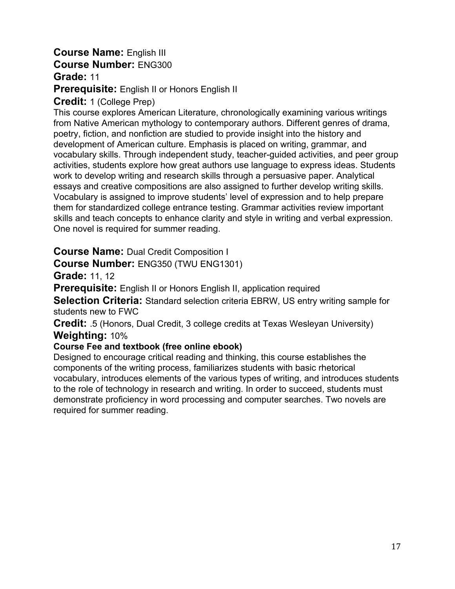# **Course Name:** English III **Course Number:** ENG300

**Grade:** 11

**Prerequisite:** English II or Honors English II

**Credit:** 1 (College Prep)

This course explores American Literature, chronologically examining various writings from Native American mythology to contemporary authors. Different genres of drama, poetry, fiction, and nonfiction are studied to provide insight into the history and development of American culture. Emphasis is placed on writing, grammar, and vocabulary skills. Through independent study, teacher-guided activities, and peer group activities, students explore how great authors use language to express ideas. Students work to develop writing and research skills through a persuasive paper. Analytical essays and creative compositions are also assigned to further develop writing skills. Vocabulary is assigned to improve students' level of expression and to help prepare them for standardized college entrance testing. Grammar activities review important skills and teach concepts to enhance clarity and style in writing and verbal expression. One novel is required for summer reading.

**Course Name:** Dual Credit Composition I

#### **Course Number:** ENG350 (TWU ENG1301)

**Grade:** 11, 12

**Prerequisite:** English II or Honors English II, application required

**Selection Criteria:** Standard selection criteria EBRW, US entry writing sample for students new to FWC

**Credit:** .5 (Honors, Dual Credit, 3 college credits at Texas Wesleyan University) **Weighting:** 10%

#### **Course Fee and textbook (free online ebook)**

Designed to encourage critical reading and thinking, this course establishes the components of the writing process, familiarizes students with basic rhetorical vocabulary, introduces elements of the various types of writing, and introduces students to the role of technology in research and writing. In order to succeed, students must demonstrate proficiency in word processing and computer searches. Two novels are required for summer reading.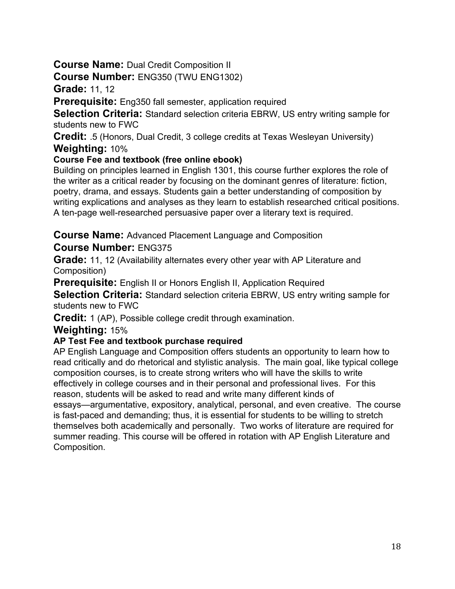# **Course Name:** Dual Credit Composition II

## **Course Number:** ENG350 (TWU ENG1302)

**Grade:** 11, 12

**Prerequisite:** Eng350 fall semester, application required

**Selection Criteria:** Standard selection criteria EBRW, US entry writing sample for students new to FWC

**Credit:** .5 (Honors, Dual Credit, 3 college credits at Texas Wesleyan University) **Weighting:** 10%

#### **Course Fee and textbook (free online ebook)**

Building on principles learned in English 1301, this course further explores the role of the writer as a critical reader by focusing on the dominant genres of literature: fiction, poetry, drama, and essays. Students gain a better understanding of composition by writing explications and analyses as they learn to establish researched critical positions. A ten-page well-researched persuasive paper over a literary text is required.

**Course Name:** Advanced Placement Language and Composition

## **Course Number:** ENG375

**Grade:** 11, 12 (Availability alternates every other year with AP Literature and Composition)

**Prerequisite:** English II or Honors English II, Application Required

**Selection Criteria:** Standard selection criteria EBRW, US entry writing sample for students new to FWC

**Credit:** 1 (AP), Possible college credit through examination.

#### **Weighting:** 15%

#### **AP Test Fee and textbook purchase required**

AP English Language and Composition offers students an opportunity to learn how to read critically and do rhetorical and stylistic analysis. The main goal, like typical college composition courses, is to create strong writers who will have the skills to write effectively in college courses and in their personal and professional lives. For this reason, students will be asked to read and write many different kinds of essays—argumentative, expository, analytical, personal, and even creative. The course is fast-paced and demanding; thus, it is essential for students to be willing to stretch themselves both academically and personally. Two works of literature are required for summer reading. This course will be offered in rotation with AP English Literature and Composition.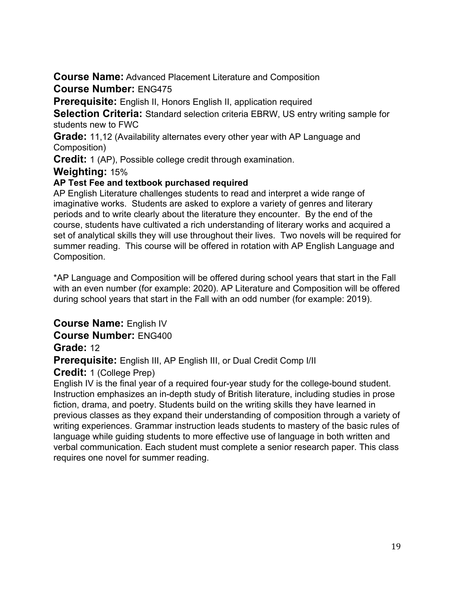**Course Name:** Advanced Placement Literature and Composition **Course Number:** ENG475

**Prerequisite:** English II, Honors English II, application required

**Selection Criteria:** Standard selection criteria EBRW, US entry writing sample for students new to FWC

**Grade:** 11,12 (Availability alternates every other year with AP Language and Composition)

**Credit:** 1 (AP), Possible college credit through examination.

#### **Weighting:** 15%

#### **AP Test Fee and textbook purchased required**

AP English Literature challenges students to read and interpret a wide range of imaginative works. Students are asked to explore a variety of genres and literary periods and to write clearly about the literature they encounter. By the end of the course, students have cultivated a rich understanding of literary works and acquired a set of analytical skills they will use throughout their lives. Two novels will be required for summer reading. This course will be offered in rotation with AP English Language and Composition.

\*AP Language and Composition will be offered during school years that start in the Fall with an even number (for example: 2020). AP Literature and Composition will be offered during school years that start in the Fall with an odd number (for example: 2019).

**Course Name:** English IV

**Course Number:** ENG400

# **Grade:** 12

**Prerequisite:** English III, AP English III, or Dual Credit Comp I/II

# **Credit:** 1 (College Prep)

English IV is the final year of a required four-year study for the college-bound student. Instruction emphasizes an in-depth study of British literature, including studies in prose fiction, drama, and poetry. Students build on the writing skills they have learned in previous classes as they expand their understanding of composition through a variety of writing experiences. Grammar instruction leads students to mastery of the basic rules of language while guiding students to more effective use of language in both written and verbal communication. Each student must complete a senior research paper. This class requires one novel for summer reading.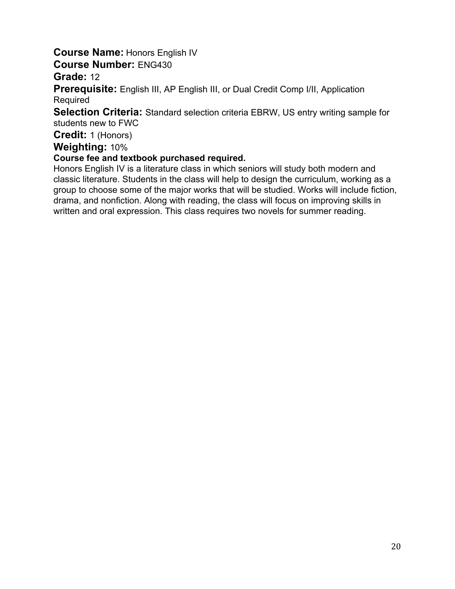# **Course Name:** Honors English IV

**Course Number:** ENG430

**Grade:** 12

**Prerequisite:** English III, AP English III, or Dual Credit Comp I/II, Application Required

**Selection Criteria:** Standard selection criteria EBRW, US entry writing sample for students new to FWC

**Credit:** 1 (Honors)

**Weighting:** 10%

#### **Course fee and textbook purchased required.**

Honors English IV is a literature class in which seniors will study both modern and classic literature. Students in the class will help to design the curriculum, working as a group to choose some of the major works that will be studied. Works will include fiction, drama, and nonfiction. Along with reading, the class will focus on improving skills in written and oral expression. This class requires two novels for summer reading.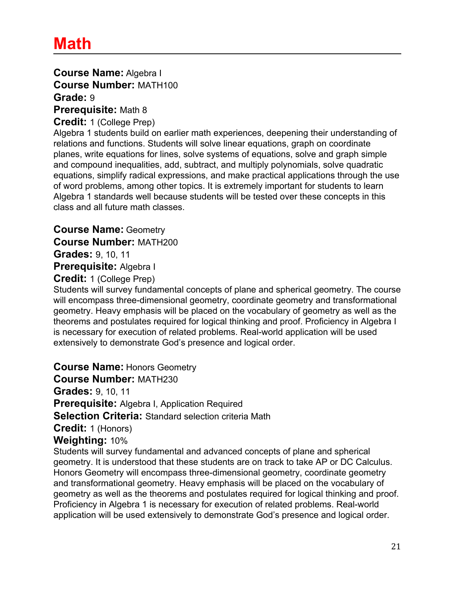**Course Name:** Algebra I **Course Number:** MATH100 **Grade:** 9 **Prerequisite:** Math 8

**Credit:** 1 (College Prep)

Algebra 1 students build on earlier math experiences, deepening their understanding of relations and functions. Students will solve linear equations, graph on coordinate planes, write equations for lines, solve systems of equations, solve and graph simple and compound inequalities, add, subtract, and multiply polynomials, solve quadratic equations, simplify radical expressions, and make practical applications through the use of word problems, among other topics. It is extremely important for students to learn Algebra 1 standards well because students will be tested over these concepts in this class and all future math classes.

**Course Name:** Geometry **Course Number:** MATH200 **Grades:** 9, 10, 11 **Prerequisite:** Algebra I **Credit:** 1 (College Prep)

Students will survey fundamental concepts of plane and spherical geometry. The course will encompass three-dimensional geometry, coordinate geometry and transformational geometry. Heavy emphasis will be placed on the vocabulary of geometry as well as the theorems and postulates required for logical thinking and proof. Proficiency in Algebra I is necessary for execution of related problems. Real-world application will be used extensively to demonstrate God's presence and logical order.

**Course Name:** Honors Geometry

**Course Number:** MATH230

**Grades:** 9, 10, 11

**Prerequisite:** Algebra I, Application Required

**Selection Criteria:** Standard selection criteria Math

**Credit:** 1 (Honors)

#### **Weighting:** 10%

Students will survey fundamental and advanced concepts of plane and spherical geometry. It is understood that these students are on track to take AP or DC Calculus. Honors Geometry will encompass three-dimensional geometry, coordinate geometry and transformational geometry. Heavy emphasis will be placed on the vocabulary of geometry as well as the theorems and postulates required for logical thinking and proof. Proficiency in Algebra 1 is necessary for execution of related problems. Real-world application will be used extensively to demonstrate God's presence and logical order.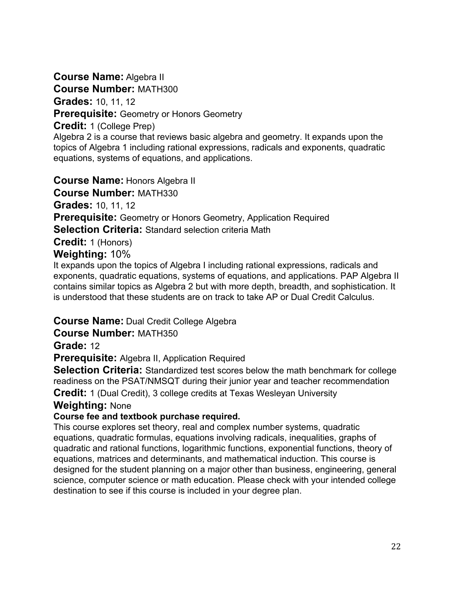**Course Name:** Algebra II

**Course Number:** MATH300

**Grades:** 10, 11, 12

**Prerequisite:** Geometry or Honors Geometry

**Credit:** 1 (College Prep)

Algebra 2 is a course that reviews basic algebra and geometry. It expands upon the topics of Algebra 1 including rational expressions, radicals and exponents, quadratic equations, systems of equations, and applications.

**Course Name:** Honors Algebra II

**Course Number:** MATH330

**Grades:** 10, 11, 12

**Prerequisite:** Geometry or Honors Geometry, Application Required

**Selection Criteria:** Standard selection criteria Math

**Credit:** 1 (Honors)

# **Weighting:** 10%

It expands upon the topics of Algebra I including rational expressions, radicals and exponents, quadratic equations, systems of equations, and applications. PAP Algebra II contains similar topics as Algebra 2 but with more depth, breadth, and sophistication. It is understood that these students are on track to take AP or Dual Credit Calculus.

# **Course Name:** Dual Credit College Algebra

**Course Number:** MATH350

**Grade:** 12

**Prerequisite:** Algebra II, Application Required

**Selection Criteria:** Standardized test scores below the math benchmark for college readiness on the PSAT/NMSQT during their junior year and teacher recommendation

**Credit:** 1 (Dual Credit), 3 college credits at Texas Wesleyan University

# **Weighting:** None

# **Course fee and textbook purchase required.**

This course explores set theory, real and complex number systems, quadratic equations, quadratic formulas, equations involving radicals, inequalities, graphs of quadratic and rational functions, logarithmic functions, exponential functions, theory of equations, matrices and determinants, and mathematical induction. This course is designed for the student planning on a major other than business, engineering, general science, computer science or math education. Please check with your intended college destination to see if this course is included in your degree plan.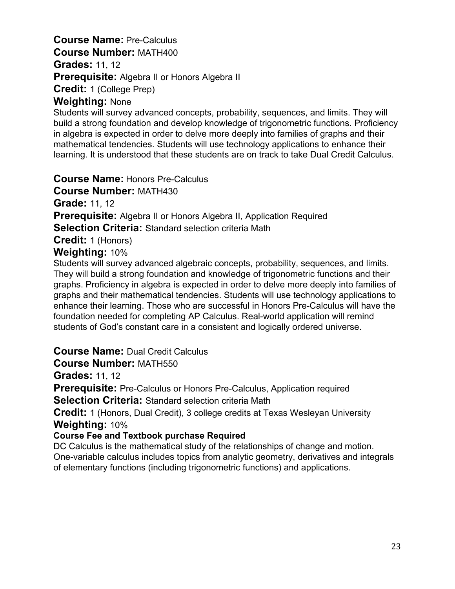# **Course Name:** Pre-Calculus **Course Number:** MATH400 **Grades:** 11, 12 **Prerequisite:** Algebra II or Honors Algebra II

**Credit:** 1 (College Prep)

#### **Weighting:** None

Students will survey advanced concepts, probability, sequences, and limits. They will build a strong foundation and develop knowledge of trigonometric functions. Proficiency in algebra is expected in order to delve more deeply into families of graphs and their mathematical tendencies. Students will use technology applications to enhance their learning. It is understood that these students are on track to take Dual Credit Calculus.

**Course Name:** Honors Pre-Calculus

**Course Number:** MATH430

**Grade:** 11, 12

**Prerequisite:** Algebra II or Honors Algebra II, Application Required

**Selection Criteria:** Standard selection criteria Math

**Credit:** 1 (Honors)

## **Weighting:** 10%

Students will survey advanced algebraic concepts, probability, sequences, and limits. They will build a strong foundation and knowledge of trigonometric functions and their graphs. Proficiency in algebra is expected in order to delve more deeply into families of graphs and their mathematical tendencies. Students will use technology applications to enhance their learning. Those who are successful in Honors Pre-Calculus will have the foundation needed for completing AP Calculus. Real-world application will remind students of God's constant care in a consistent and logically ordered universe.

# **Course Name:** Dual Credit Calculus

**Course Number:** MATH550

**Grades:** 11, 12

**Prerequisite:** Pre-Calculus or Honors Pre-Calculus, Application required

**Selection Criteria:** Standard selection criteria Math

**Credit:** 1 (Honors, Dual Credit), 3 college credits at Texas Wesleyan University **Weighting:** 10%

#### **Course Fee and Textbook purchase Required**

DC Calculus is the mathematical study of the relationships of change and motion. One-variable calculus includes topics from analytic geometry, derivatives and integrals of elementary functions (including trigonometric functions) and applications.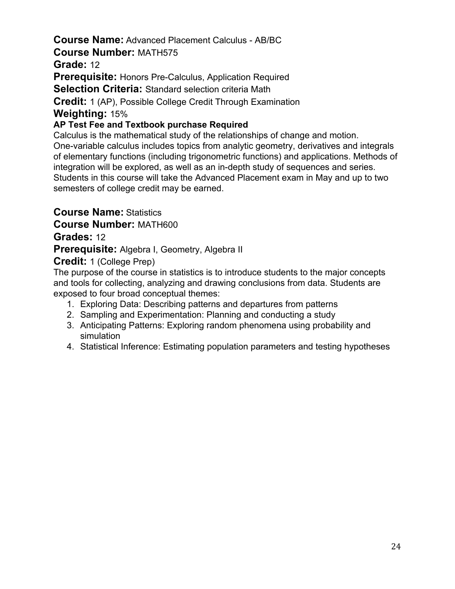# **Course Name:** Advanced Placement Calculus - AB/BC

#### **Course Number:** MATH575

**Grade:** 12

**Prerequisite:** Honors Pre-Calculus, Application Required

**Selection Criteria:** Standard selection criteria Math

**Credit:** 1 (AP), Possible College Credit Through Examination

## **Weighting:** 15%

## **AP Test Fee and Textbook purchase Required**

Calculus is the mathematical study of the relationships of change and motion. One-variable calculus includes topics from analytic geometry, derivatives and integrals of elementary functions (including trigonometric functions) and applications. Methods of integration will be explored, as well as an in-depth study of sequences and series. Students in this course will take the Advanced Placement exam in May and up to two semesters of college credit may be earned.

**Course Name:** Statistics

**Course Number:** MATH600

# **Grades:** 12

**Prerequisite:** Algebra I, Geometry, Algebra II

**Credit:** 1 (College Prep)

The purpose of the course in statistics is to introduce students to the major concepts and tools for collecting, analyzing and drawing conclusions from data. Students are exposed to four broad conceptual themes:

- 1. Exploring Data: Describing patterns and departures from patterns
- 2. Sampling and Experimentation: Planning and conducting a study
- 3. Anticipating Patterns: Exploring random phenomena using probability and simulation
- 4. Statistical Inference: Estimating population parameters and testing hypotheses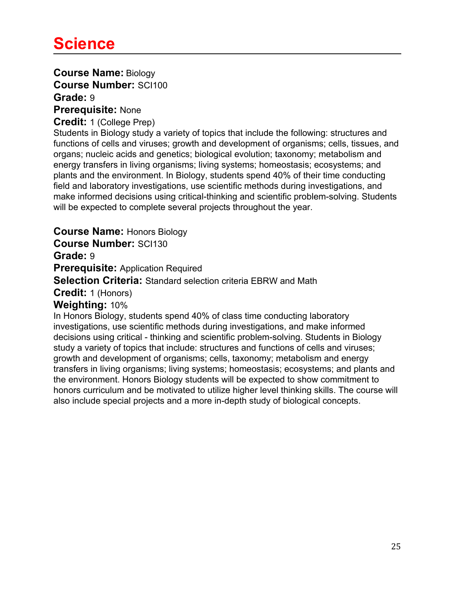# **Course Name:** Biology **Course Number:** SCI100 **Grade:** 9

**Prerequisite:** None

#### **Credit:** 1 (College Prep)

Students in Biology study a variety of topics that include the following: structures and functions of cells and viruses; growth and development of organisms; cells, tissues, and organs; nucleic acids and genetics; biological evolution; taxonomy; metabolism and energy transfers in living organisms; living systems; homeostasis; ecosystems; and plants and the environment. In Biology, students spend 40% of their time conducting field and laboratory investigations, use scientific methods during investigations, and make informed decisions using critical-thinking and scientific problem-solving. Students will be expected to complete several projects throughout the year.

## **Course Name:** Honors Biology

**Course Number:** SCI130

#### **Grade:** 9

**Prerequisite:** Application Required

**Selection Criteria:** Standard selection criteria EBRW and Math

**Credit:** 1 (Honors)

#### **Weighting:** 10%

In Honors Biology, students spend 40% of class time conducting laboratory investigations, use scientific methods during investigations, and make informed decisions using critical - thinking and scientific problem-solving. Students in Biology study a variety of topics that include: structures and functions of cells and viruses; growth and development of organisms; cells, taxonomy; metabolism and energy transfers in living organisms; living systems; homeostasis; ecosystems; and plants and the environment. Honors Biology students will be expected to show commitment to honors curriculum and be motivated to utilize higher level thinking skills. The course will also include special projects and a more in-depth study of biological concepts.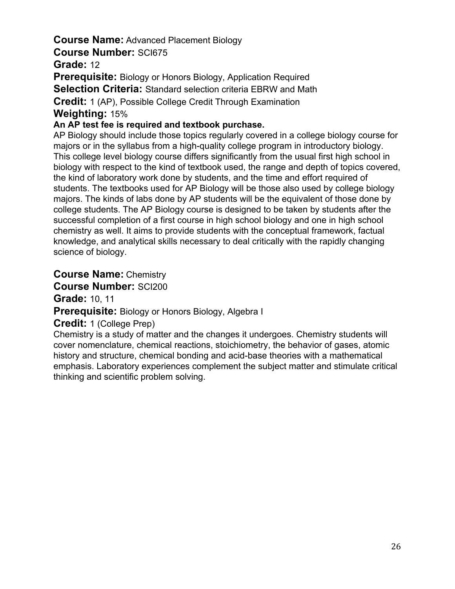# **Course Name:** Advanced Placement Biology **Course Number:** SCI675

**Grade:** 12

**Prerequisite:** Biology or Honors Biology, Application Required **Selection Criteria:** Standard selection criteria EBRW and Math **Credit:** 1 (AP), Possible College Credit Through Examination **Weighting:** 15%

#### **An AP test fee is required and textbook purchase.**

AP Biology should include those topics regularly covered in a college biology course for majors or in the syllabus from a high-quality college program in introductory biology. This college level biology course differs significantly from the usual first high school in biology with respect to the kind of textbook used, the range and depth of topics covered, the kind of laboratory work done by students, and the time and effort required of students. The textbooks used for AP Biology will be those also used by college biology majors. The kinds of labs done by AP students will be the equivalent of those done by college students. The AP Biology course is designed to be taken by students after the successful completion of a first course in high school biology and one in high school chemistry as well. It aims to provide students with the conceptual framework, factual knowledge, and analytical skills necessary to deal critically with the rapidly changing science of biology.

**Course Name:** Chemistry

**Course Number:** SCI200

**Grade:** 10, 11

**Prerequisite:** Biology or Honors Biology, Algebra I

**Credit:** 1 (College Prep)

Chemistry is a study of matter and the changes it undergoes. Chemistry students will cover nomenclature, chemical reactions, stoichiometry, the behavior of gases, atomic history and structure, chemical bonding and acid-base theories with a mathematical emphasis. Laboratory experiences complement the subject matter and stimulate critical thinking and scientific problem solving.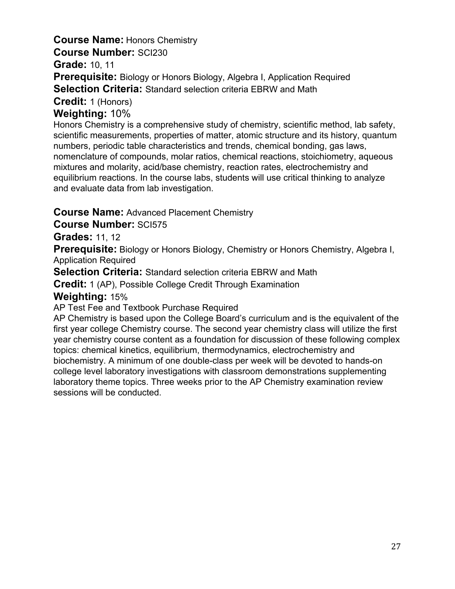# **Course Name:** Honors Chemistry

**Course Number:** SCI230

**Grade:** 10, 11

**Prerequisite:** Biology or Honors Biology, Algebra I, Application Required

**Selection Criteria:** Standard selection criteria EBRW and Math

**Credit:** 1 (Honors)

#### **Weighting:** 10%

Honors Chemistry is a comprehensive study of chemistry, scientific method, lab safety, scientific measurements, properties of matter, atomic structure and its history, quantum numbers, periodic table characteristics and trends, chemical bonding, gas laws, nomenclature of compounds, molar ratios, chemical reactions, stoichiometry, aqueous mixtures and molarity, acid/base chemistry, reaction rates, electrochemistry and equilibrium reactions. In the course labs, students will use critical thinking to analyze and evaluate data from lab investigation.

#### **Course Name:** Advanced Placement Chemistry

#### **Course Number:** SCI575

#### **Grades:** 11, 12

**Prerequisite:** Biology or Honors Biology, Chemistry or Honors Chemistry, Algebra I, Application Required

**Selection Criteria:** Standard selection criteria EBRW and Math

**Credit:** 1 (AP), Possible College Credit Through Examination

#### **Weighting:** 15%

AP Test Fee and Textbook Purchase Required

AP Chemistry is based upon the College Board's curriculum and is the equivalent of the first year college Chemistry course. The second year chemistry class will utilize the first year chemistry course content as a foundation for discussion of these following complex topics: chemical kinetics, equilibrium, thermodynamics, electrochemistry and biochemistry. A minimum of one double-class per week will be devoted to hands-on college level laboratory investigations with classroom demonstrations supplementing laboratory theme topics. Three weeks prior to the AP Chemistry examination review sessions will be conducted.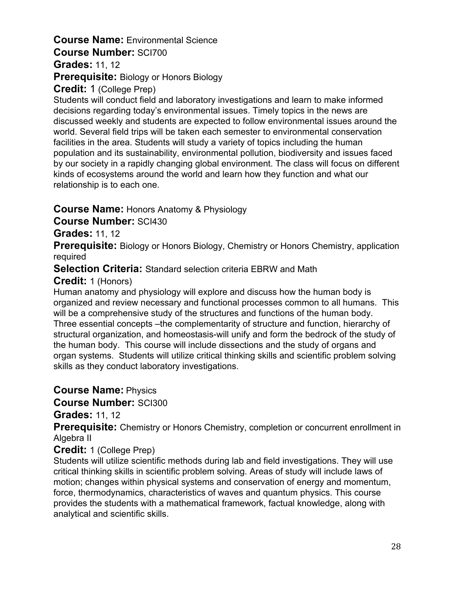# **Course Name:** Environmental Science **Course Number:** SCI700

## **Grades:** 11, 12

# **Prerequisite:** Biology or Honors Biology

### **Credit:** 1 (College Prep)

Students will conduct field and laboratory investigations and learn to make informed decisions regarding today's environmental issues. Timely topics in the news are discussed weekly and students are expected to follow environmental issues around the world. Several field trips will be taken each semester to environmental conservation facilities in the area. Students will study a variety of topics including the human population and its sustainability, environmental pollution, biodiversity and issues faced by our society in a rapidly changing global environment. The class will focus on different kinds of ecosystems around the world and learn how they function and what our relationship is to each one.

## **Course Name:** Honors Anatomy & Physiology

**Course Number:** SCI430

## **Grades:** 11, 12

**Prerequisite:** Biology or Honors Biology, Chemistry or Honors Chemistry, application required

**Selection Criteria:** Standard selection criteria EBRW and Math

# **Credit:** 1 (Honors)

Human anatomy and physiology will explore and discuss how the human body is organized and review necessary and functional processes common to all humans. This will be a comprehensive study of the structures and functions of the human body. Three essential concepts –the complementarity of structure and function, hierarchy of structural organization, and homeostasis-will unify and form the bedrock of the study of the human body. This course will include dissections and the study of organs and organ systems. Students will utilize critical thinking skills and scientific problem solving skills as they conduct laboratory investigations.

# **Course Name:** Physics

**Course Number:** SCI300

# **Grades:** 11, 12

**Prerequisite:** Chemistry or Honors Chemistry, completion or concurrent enrollment in Algebra II

#### **Credit:** 1 (College Prep)

Students will utilize scientific methods during lab and field investigations. They will use critical thinking skills in scientific problem solving. Areas of study will include laws of motion; changes within physical systems and conservation of energy and momentum, force, thermodynamics, characteristics of waves and quantum physics. This course provides the students with a mathematical framework, factual knowledge, along with analytical and scientific skills.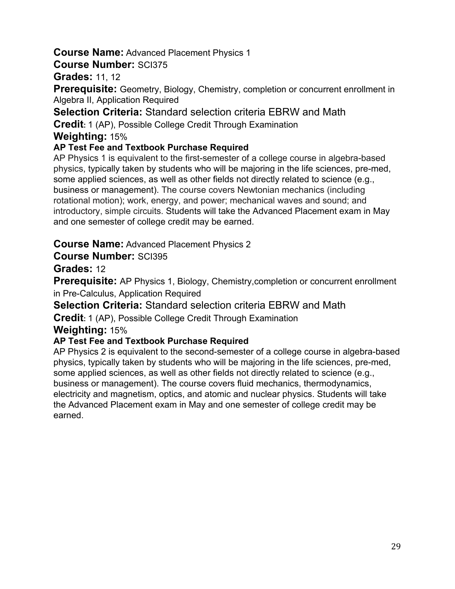## **Course Name:** Advanced Placement Physics 1

#### **Course Number:** SCI375

**Grades:** 11, 12

**Prerequisite:** Geometry, Biology, Chemistry, completion or concurrent enrollment in Algebra II, Application Required

**Selection Criteria:** Standard selection criteria EBRW and Math

**Credit:** 1 (AP), Possible College Credit Through Examination

#### **Weighting:** 15%

## **AP Test Fee and Textbook Purchase Required**

AP Physics 1 is equivalent to the first-semester of a college course in algebra-based physics, typically taken by students who will be majoring in the life sciences, pre-med, some applied sciences, as well as other fields not directly related to science (e.g., business or management). The course covers Newtonian mechanics (including rotational motion); work, energy, and power; mechanical waves and sound; and introductory, simple circuits. Students will take the Advanced Placement exam in May and one semester of college credit may be earned.

# **Course Name:** Advanced Placement Physics 2

# **Course Number:** SCI395

# **Grades:** 12

**Prerequisite:** AP Physics 1, Biology, Chemistry, completion or concurrent enrollment in Pre-Calculus, Application Required

**Selection Criteria:** Standard selection criteria EBRW and Math

**Credit:** 1 (AP), Possible College Credit Through Examination

#### **Weighting:** 15%

# **AP Test Fee and Textbook Purchase Required**

AP Physics 2 is equivalent to the second-semester of a college course in algebra-based physics, typically taken by students who will be majoring in the life sciences, pre-med, some applied sciences, as well as other fields not directly related to science (e.g., business or management). The course covers fluid mechanics, thermodynamics, electricity and magnetism, optics, and atomic and nuclear physics. Students will take the Advanced Placement exam in May and one semester of college credit may be earned.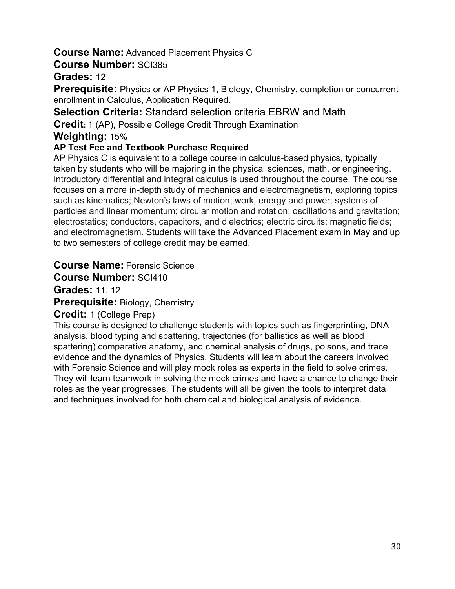## **Course Name:** Advanced Placement Physics C

### **Course Number:** SCI385

# **Grades:** 12

**Prerequisite:** Physics or AP Physics 1, Biology, Chemistry, completion or concurrent enrollment in Calculus, Application Required.

**Selection Criteria:** Standard selection criteria EBRW and Math

**Credit:** 1 (AP), Possible College Credit Through Examination

### **Weighting:** 15%

## **AP Test Fee and Textbook Purchase Required**

AP Physics C is equivalent to a college course in calculus-based physics, typically taken by students who will be majoring in the physical sciences, math, or engineering. Introductory differential and integral calculus is used throughout the course. The course focuses on a more in-depth study of mechanics and electromagnetism, exploring topics such as kinematics; Newton's laws of motion; work, energy and power; systems of particles and linear momentum; circular motion and rotation; oscillations and gravitation; electrostatics; conductors, capacitors, and dielectrics; electric circuits; magnetic fields; and electromagnetism. Students will take the Advanced Placement exam in May and up to two semesters of college credit may be earned.

# **Course Name:** Forensic Science

## **Course Number:** SCI410

**Grades:** 11, 12

**Prerequisite:** Biology, Chemistry

#### **Credit:** 1 (College Prep)

This course is designed to challenge students with topics such as fingerprinting, DNA analysis, blood typing and spattering, trajectories (for ballistics as well as blood spattering) comparative anatomy, and chemical analysis of drugs, poisons, and trace evidence and the dynamics of Physics. Students will learn about the careers involved with Forensic Science and will play mock roles as experts in the field to solve crimes. They will learn teamwork in solving the mock crimes and have a chance to change their roles as the year progresses. The students will all be given the tools to interpret data and techniques involved for both chemical and biological analysis of evidence.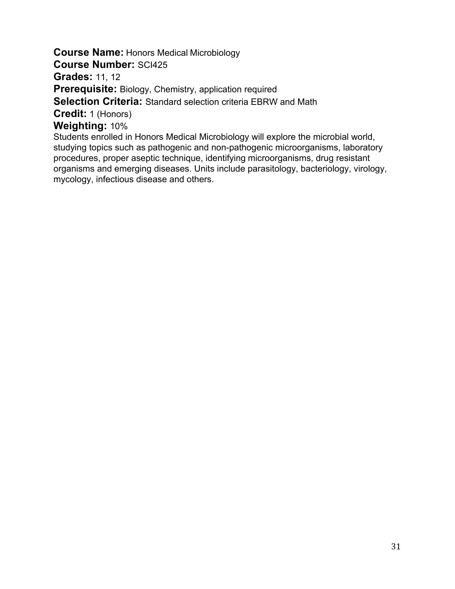**Course Name:** Honors Medical Microbiology

**Course Number:** SCI425

**Grades:** 11, 12

**Prerequisite:** Biology, Chemistry, application required

**Selection Criteria:** Standard selection criteria EBRW and Math

**Credit:** 1 (Honors)

**Weighting:** 10%

Students enrolled in Honors Medical Microbiology will explore the microbial world, studying topics such as pathogenic and non-pathogenic microorganisms, laboratory procedures, proper aseptic technique, identifying microorganisms, drug resistant organisms and emerging diseases. Units include parasitology, bacteriology, virology, mycology, infectious disease and others.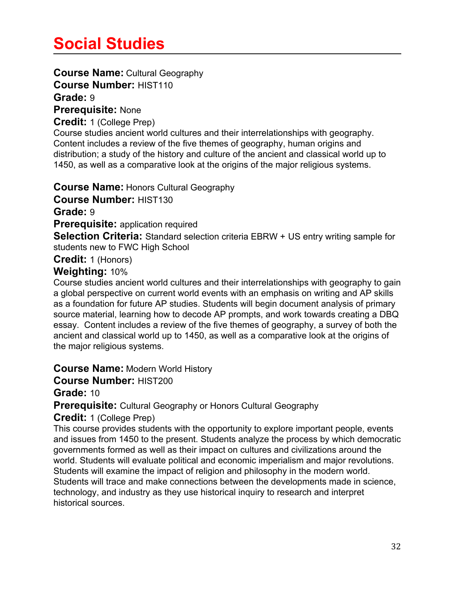# **Social Studies**

## **Course Name:** Cultural Geography

**Course Number:** HIST110

# **Grade:** 9

**Prerequisite:** None

#### **Credit:** 1 (College Prep)

Course studies ancient world cultures and their interrelationships with geography. Content includes a review of the five themes of geography, human origins and distribution; a study of the history and culture of the ancient and classical world up to 1450, as well as a comparative look at the origins of the major religious systems.

**Course Name:** Honors Cultural Geography

**Course Number:** HIST130

**Grade:** 9

**Prerequisite:** application required

**Selection Criteria:** Standard selection criteria EBRW + US entry writing sample for students new to FWC High School

**Credit:** 1 (Honors)

## **Weighting:** 10%

Course studies ancient world cultures and their interrelationships with geography to gain a global perspective on current world events with an emphasis on writing and AP skills as a foundation for future AP studies. Students will begin document analysis of primary source material, learning how to decode AP prompts, and work towards creating a DBQ essay. Content includes a review of the five themes of geography, a survey of both the ancient and classical world up to 1450, as well as a comparative look at the origins of the major religious systems.

**Course Name:** Modern World History

**Course Number:** HIST200

**Grade:** 10

**Prerequisite:** Cultural Geography or Honors Cultural Geography

**Credit:** 1 (College Prep)

This course provides students with the opportunity to explore important people, events and issues from 1450 to the present. Students analyze the process by which democratic governments formed as well as their impact on cultures and civilizations around the world. Students will evaluate political and economic imperialism and major revolutions. Students will examine the impact of religion and philosophy in the modern world. Students will trace and make connections between the developments made in science, technology, and industry as they use historical inquiry to research and interpret historical sources.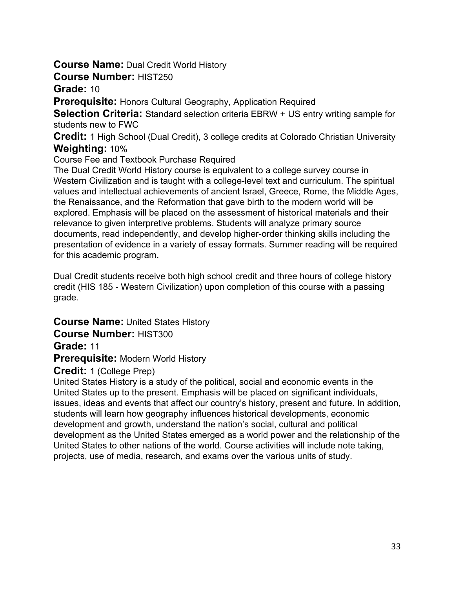## **Course Name:** Dual Credit World History

#### **Course Number:** HIST250

#### **Grade:** 10

**Prerequisite:** Honors Cultural Geography, Application Required

**Selection Criteria:** Standard selection criteria EBRW + US entry writing sample for students new to FWC

**Credit:** 1 High School (Dual Credit), 3 college credits at Colorado Christian University **Weighting:** 10%

Course Fee and Textbook Purchase Required

The Dual Credit World History course is equivalent to a college survey course in Western Civilization and is taught with a college-level text and curriculum. The spiritual values and intellectual achievements of ancient Israel, Greece, Rome, the Middle Ages, the Renaissance, and the Reformation that gave birth to the modern world will be explored. Emphasis will be placed on the assessment of historical materials and their relevance to given interpretive problems. Students will analyze primary source documents, read independently, and develop higher-order thinking skills including the presentation of evidence in a variety of essay formats. Summer reading will be required for this academic program.

Dual Credit students receive both high school credit and three hours of college history credit (HIS 185 - Western Civilization) upon completion of this course with a passing grade.

**Course Name:** United States History **Course Number:** HIST300

**Grade:** 11

**Prerequisite:** Modern World History

# **Credit:** 1 (College Prep)

United States History is a study of the political, social and economic events in the United States up to the present. Emphasis will be placed on significant individuals, issues, ideas and events that affect our country's history, present and future. In addition, students will learn how geography influences historical developments, economic development and growth, understand the nation's social, cultural and political development as the United States emerged as a world power and the relationship of the United States to other nations of the world. Course activities will include note taking, projects, use of media, research, and exams over the various units of study.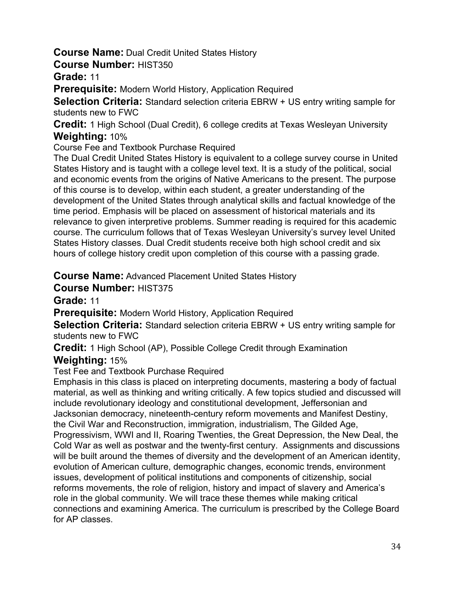# **Course Name:** Dual Credit United States History

## **Course Number:** HIST350

**Grade:** 11

**Prerequisite:** Modern World History, Application Required

**Selection Criteria:** Standard selection criteria EBRW + US entry writing sample for students new to FWC

**Credit:** 1 High School (Dual Credit), 6 college credits at Texas Wesleyan University **Weighting:** 10%

Course Fee and Textbook Purchase Required

The Dual Credit United States History is equivalent to a college survey course in United States History and is taught with a college level text. It is a study of the political, social and economic events from the origins of Native Americans to the present. The purpose of this course is to develop, within each student, a greater understanding of the development of the United States through analytical skills and factual knowledge of the time period. Emphasis will be placed on assessment of historical materials and its relevance to given interpretive problems. Summer reading is required for this academic course. The curriculum follows that of Texas Wesleyan University's survey level United States History classes. Dual Credit students receive both high school credit and six hours of college history credit upon completion of this course with a passing grade.

**Course Name:** Advanced Placement United States History

**Course Number:** HIST375

**Grade:** 11

**Prerequisite:** Modern World History, Application Required

**Selection Criteria:** Standard selection criteria EBRW + US entry writing sample for students new to FWC

**Credit:** 1 High School (AP), Possible College Credit through Examination

# **Weighting:** 15%

Test Fee and Textbook Purchase Required

Emphasis in this class is placed on interpreting documents, mastering a body of factual material, as well as thinking and writing critically. A few topics studied and discussed will include revolutionary ideology and constitutional development, Jeffersonian and Jacksonian democracy, nineteenth-century reform movements and Manifest Destiny, the Civil War and Reconstruction, immigration, industrialism, The Gilded Age, Progressivism, WWI and II, Roaring Twenties, the Great Depression, the New Deal, the Cold War as well as postwar and the twenty-first century. Assignments and discussions will be built around the themes of diversity and the development of an American identity, evolution of American culture, demographic changes, economic trends, environment issues, development of political institutions and components of citizenship, social reforms movements, the role of religion, history and impact of slavery and America's role in the global community. We will trace these themes while making critical connections and examining America. The curriculum is prescribed by the College Board for AP classes.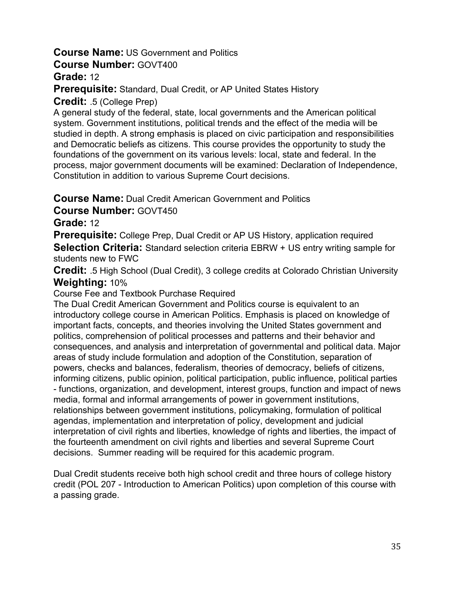# **Course Name:** US Government and Politics

**Course Number:** GOVT400

**Grade:** 12

**Prerequisite:** Standard, Dual Credit, or AP United States History

**Credit:** .5 (College Prep)

A general study of the federal, state, local governments and the American political system. Government institutions, political trends and the effect of the media will be studied in depth. A strong emphasis is placed on civic participation and responsibilities and Democratic beliefs as citizens. This course provides the opportunity to study the foundations of the government on its various levels: local, state and federal. In the process, major government documents will be examined: Declaration of Independence, Constitution in addition to various Supreme Court decisions.

**Course Name:** Dual Credit American Government and Politics

**Course Number:** GOVT450

**Grade:** 12

**Prerequisite:** College Prep, Dual Credit or AP US History, application required **Selection Criteria:** Standard selection criteria EBRW + US entry writing sample for students new to FWC

**Credit:** .5 High School (Dual Credit), 3 college credits at Colorado Christian University **Weighting:** 10%

Course Fee and Textbook Purchase Required

The Dual Credit American Government and Politics course is equivalent to an introductory college course in American Politics. Emphasis is placed on knowledge of important facts, concepts, and theories involving the United States government and politics, comprehension of political processes and patterns and their behavior and consequences, and analysis and interpretation of governmental and political data. Major areas of study include formulation and adoption of the Constitution, separation of powers, checks and balances, federalism, theories of democracy, beliefs of citizens, informing citizens, public opinion, political participation, public influence, political parties - functions, organization, and development, interest groups, function and impact of news media, formal and informal arrangements of power in government institutions, relationships between government institutions, policymaking, formulation of political agendas, implementation and interpretation of policy, development and judicial interpretation of civil rights and liberties, knowledge of rights and liberties, the impact of the fourteenth amendment on civil rights and liberties and several Supreme Court decisions. Summer reading will be required for this academic program.

Dual Credit students receive both high school credit and three hours of college history credit (POL 207 - Introduction to American Politics) upon completion of this course with a passing grade.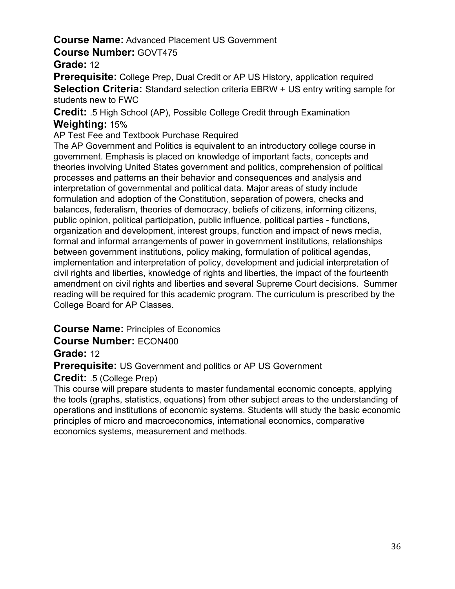# **Course Name:** Advanced Placement US Government

## **Course Number:** GOVT475

## **Grade:** 12

**Prerequisite:** College Prep, Dual Credit or AP US History, application required **Selection Criteria:** Standard selection criteria EBRW + US entry writing sample for students new to FWC

**Credit:** .5 High School (AP), Possible College Credit through Examination **Weighting:** 15%

AP Test Fee and Textbook Purchase Required

The AP Government and Politics is equivalent to an introductory college course in government. Emphasis is placed on knowledge of important facts, concepts and theories involving United States government and politics, comprehension of political processes and patterns an their behavior and consequences and analysis and interpretation of governmental and political data. Major areas of study include formulation and adoption of the Constitution, separation of powers, checks and balances, federalism, theories of democracy, beliefs of citizens, informing citizens, public opinion, political participation, public influence, political parties - functions, organization and development, interest groups, function and impact of news media, formal and informal arrangements of power in government institutions, relationships between government institutions, policy making, formulation of political agendas, implementation and interpretation of policy, development and judicial interpretation of civil rights and liberties, knowledge of rights and liberties, the impact of the fourteenth amendment on civil rights and liberties and several Supreme Court decisions. Summer reading will be required for this academic program. The curriculum is prescribed by the College Board for AP Classes.

# **Course Name:** Principles of Economics

**Course Number:** ECON400

# **Grade:** 12

**Prerequisite:** US Government and politics or AP US Government

# **Credit:** .5 (College Prep)

This course will prepare students to master fundamental economic concepts, applying the tools (graphs, statistics, equations) from other subject areas to the understanding of operations and institutions of economic systems. Students will study the basic economic principles of micro and macroeconomics, international economics, comparative economics systems, measurement and methods.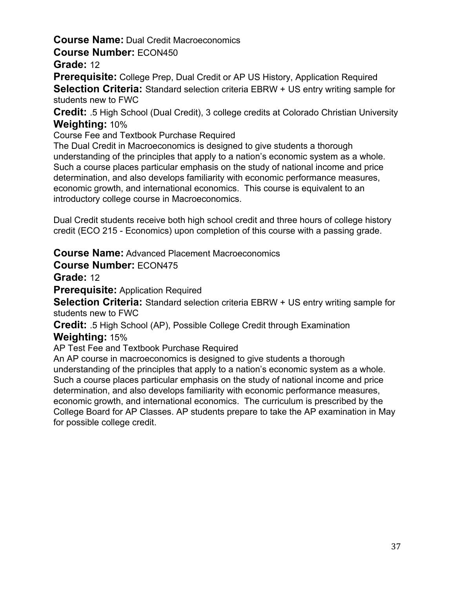# **Course Name:** Dual Credit Macroeconomics

#### **Course Number:** ECON450

### **Grade:** 12

**Prerequisite:** College Prep, Dual Credit or AP US History, Application Required **Selection Criteria:** Standard selection criteria EBRW + US entry writing sample for students new to FWC

**Credit:** .5 High School (Dual Credit), 3 college credits at Colorado Christian University **Weighting:** 10%

Course Fee and Textbook Purchase Required

The Dual Credit in Macroeconomics is designed to give students a thorough understanding of the principles that apply to a nation's economic system as a whole. Such a course places particular emphasis on the study of national income and price determination, and also develops familiarity with economic performance measures, economic growth, and international economics. This course is equivalent to an introductory college course in Macroeconomics.

Dual Credit students receive both high school credit and three hours of college history credit (ECO 215 - Economics) upon completion of this course with a passing grade.

**Course Name:** Advanced Placement Macroeconomics

#### **Course Number:** ECON475

**Grade:** 12

**Prerequisite:** Application Required

**Selection Criteria:** Standard selection criteria EBRW + US entry writing sample for students new to FWC

**Credit:** .5 High School (AP), Possible College Credit through Examination

#### **Weighting:** 15%

AP Test Fee and Textbook Purchase Required

An AP course in macroeconomics is designed to give students a thorough understanding of the principles that apply to a nation's economic system as a whole. Such a course places particular emphasis on the study of national income and price determination, and also develops familiarity with economic performance measures, economic growth, and international economics. The curriculum is prescribed by the College Board for AP Classes. AP students prepare to take the AP examination in May for possible college credit.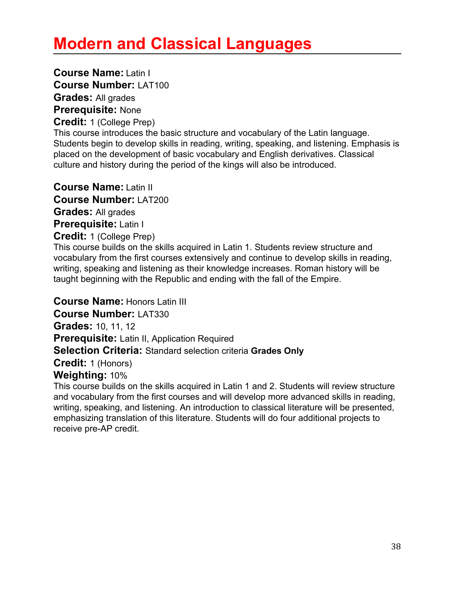# **Modern and Classical Languages**

**Course Name:** Latin I **Course Number:** LAT100 **Grades:** All grades

**Prerequisite:** None

**Credit:** 1 (College Prep)

This course introduces the basic structure and vocabulary of the Latin language. Students begin to develop skills in reading, writing, speaking, and listening. Emphasis is placed on the development of basic vocabulary and English derivatives. Classical culture and history during the period of the kings will also be introduced.

**Course Name:** Latin II **Course Number:** LAT200 **Grades:** All grades **Prerequisite:** Latin I

**Credit:** 1 (College Prep)

This course builds on the skills acquired in Latin 1. Students review structure and vocabulary from the first courses extensively and continue to develop skills in reading, writing, speaking and listening as their knowledge increases. Roman history will be taught beginning with the Republic and ending with the fall of the Empire.

**Course Name:** Honors Latin III **Course Number:** LAT330 **Grades:** 10, 11, 12 **Prerequisite:** Latin II, Application Required **Selection Criteria:** Standard selection criteria **Grades Only Credit:** 1 (Honors) **Weighting:** 10%

This course builds on the skills acquired in Latin 1 and 2. Students will review structure and vocabulary from the first courses and will develop more advanced skills in reading, writing, speaking, and listening. An introduction to classical literature will be presented, emphasizing translation of this literature. Students will do four additional projects to receive pre-AP credit.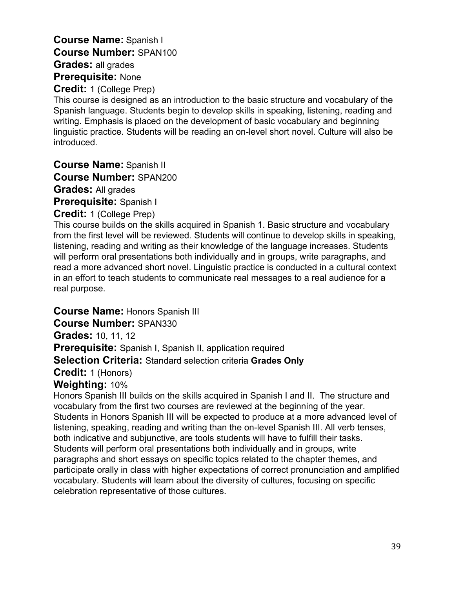# **Course Name:** Spanish I **Course Number:** SPAN100 **Grades:** all grades **Prerequisite:** None

**Credit:** 1 (College Prep)

This course is designed as an introduction to the basic structure and vocabulary of the Spanish language. Students begin to develop skills in speaking, listening, reading and writing. Emphasis is placed on the development of basic vocabulary and beginning linguistic practice. Students will be reading an on-level short novel. Culture will also be introduced.

**Course Name:** Spanish II

**Course Number:** SPAN200

**Grades:** All grades

**Prerequisite:** Spanish I

#### **Credit:** 1 (College Prep)

This course builds on the skills acquired in Spanish 1. Basic structure and vocabulary from the first level will be reviewed. Students will continue to develop skills in speaking, listening, reading and writing as their knowledge of the language increases. Students will perform oral presentations both individually and in groups, write paragraphs, and read a more advanced short novel. Linguistic practice is conducted in a cultural context in an effort to teach students to communicate real messages to a real audience for a real purpose.

**Course Name:** Honors Spanish III

**Course Number:** SPAN330

**Grades:** 10, 11, 12

**Prerequisite:** Spanish I, Spanish II, application required

#### **Selection Criteria:** Standard selection criteria **Grades Only**

**Credit:** 1 (Honors)

#### **Weighting:** 10%

Honors Spanish III builds on the skills acquired in Spanish I and II. The structure and vocabulary from the first two courses are reviewed at the beginning of the year. Students in Honors Spanish III will be expected to produce at a more advanced level of listening, speaking, reading and writing than the on-level Spanish III. All verb tenses, both indicative and subjunctive, are tools students will have to fulfill their tasks. Students will perform oral presentations both individually and in groups, write paragraphs and short essays on specific topics related to the chapter themes, and participate orally in class with higher expectations of correct pronunciation and amplified vocabulary. Students will learn about the diversity of cultures, focusing on specific celebration representative of those cultures.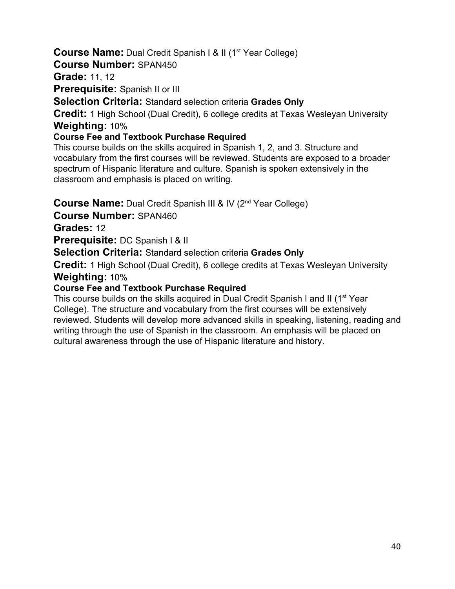# **Course Name:** Dual Credit Spanish I & II (1<sup>st</sup> Year College)

**Course Number:** SPAN450

**Grade:** 11, 12

**Prerequisite:** Spanish II or III

**Selection Criteria:** Standard selection criteria **Grades Only**

**Credit:** 1 High School (Dual Credit), 6 college credits at Texas Wesleyan University **Weighting:** 10%

### **Course Fee and Textbook Purchase Required**

This course builds on the skills acquired in Spanish 1, 2, and 3. Structure and vocabulary from the first courses will be reviewed. Students are exposed to a broader spectrum of Hispanic literature and culture. Spanish is spoken extensively in the classroom and emphasis is placed on writing.

Course Name: Dual Credit Spanish III & IV (2<sup>nd</sup> Year College)

**Course Number:** SPAN460

**Grades:** 12

**Prerequisite:** DC Spanish I & II

**Selection Criteria:** Standard selection criteria **Grades Only**

**Credit:** 1 High School (Dual Credit), 6 college credits at Texas Wesleyan University **Weighting:** 10%

#### **Course Fee and Textbook Purchase Required**

This course builds on the skills acquired in Dual Credit Spanish I and II (1<sup>st</sup> Year College). The structure and vocabulary from the first courses will be extensively reviewed. Students will develop more advanced skills in speaking, listening, reading and writing through the use of Spanish in the classroom. An emphasis will be placed on cultural awareness through the use of Hispanic literature and history.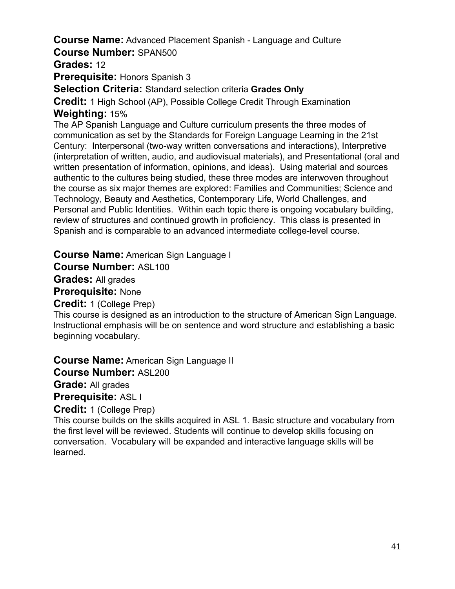#### **Course Name:** Advanced Placement Spanish - Language and Culture **Course Number:** SPAN500

**Grades:** 12

**Prerequisite:** Honors Spanish 3

**Selection Criteria:** Standard selection criteria **Grades Only**

**Credit:** 1 High School (AP), Possible College Credit Through Examination **Weighting:** 15%

The AP Spanish Language and Culture curriculum presents the three modes of communication as set by the Standards for Foreign Language Learning in the 21st Century: Interpersonal (two-way written conversations and interactions), Interpretive (interpretation of written, audio, and audiovisual materials), and Presentational (oral and written presentation of information, opinions, and ideas). Using material and sources authentic to the cultures being studied, these three modes are interwoven throughout the course as six major themes are explored: Families and Communities; Science and Technology, Beauty and Aesthetics, Contemporary Life, World Challenges, and Personal and Public Identities. Within each topic there is ongoing vocabulary building, review of structures and continued growth in proficiency. This class is presented in Spanish and is comparable to an advanced intermediate college-level course.

**Course Name:** American Sign Language I

**Course Number:** ASL100

**Grades:** All grades

**Prerequisite:** None

**Credit:** 1 (College Prep)

This course is designed as an introduction to the structure of American Sign Language. Instructional emphasis will be on sentence and word structure and establishing a basic beginning vocabulary.

**Course Name:** American Sign Language II

**Course Number:** ASL200

**Grade:** All grades

**Prerequisite:** ASL I

**Credit:** 1 (College Prep)

This course builds on the skills acquired in ASL 1. Basic structure and vocabulary from the first level will be reviewed. Students will continue to develop skills focusing on conversation. Vocabulary will be expanded and interactive language skills will be learned.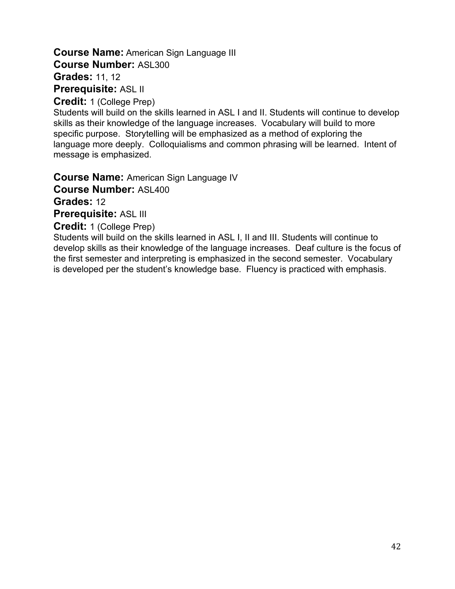# **Course Name:** American Sign Language III **Course Number:** ASL300 **Grades:** 11, 12 **Prerequisite:** ASL II

**Credit:** 1 (College Prep)

Students will build on the skills learned in ASL I and II. Students will continue to develop skills as their knowledge of the language increases. Vocabulary will build to more specific purpose. Storytelling will be emphasized as a method of exploring the language more deeply. Colloquialisms and common phrasing will be learned. Intent of message is emphasized.

**Course Name:** American Sign Language IV

**Course Number:** ASL400

**Grades:** 12

**Prerequisite:** ASL III

**Credit:** 1 (College Prep)

Students will build on the skills learned in ASL I, II and III. Students will continue to develop skills as their knowledge of the language increases. Deaf culture is the focus of the first semester and interpreting is emphasized in the second semester. Vocabulary is developed per the student's knowledge base. Fluency is practiced with emphasis.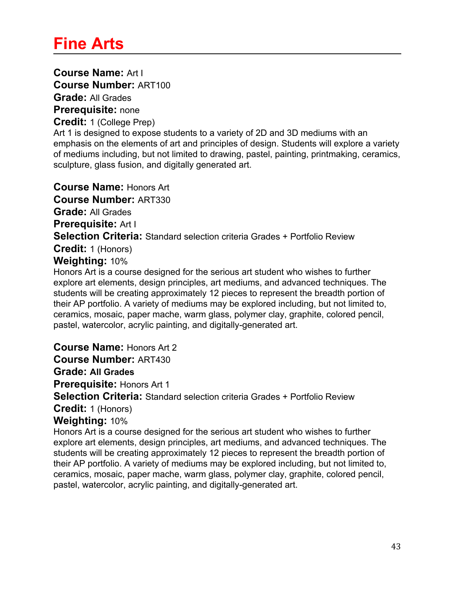# **Fine Arts**

**Course Name:** Art I **Course Number:** ART100

**Grade:** All Grades

**Prerequisite:** none

**Credit:** 1 (College Prep)

Art 1 is designed to expose students to a variety of 2D and 3D mediums with an emphasis on the elements of art and principles of design. Students will explore a variety of mediums including, but not limited to drawing, pastel, painting, printmaking, ceramics, sculpture, glass fusion, and digitally generated art.

**Course Name:** Honors Art

**Course Number:** ART330

**Grade:** All Grades

**Prerequisite:** Art I

**Selection Criteria:** Standard selection criteria Grades + Portfolio Review

**Credit:** 1 (Honors)

#### **Weighting:** 10%

Honors Art is a course designed for the serious art student who wishes to further explore art elements, design principles, art mediums, and advanced techniques. The students will be creating approximately 12 pieces to represent the breadth portion of their AP portfolio. A variety of mediums may be explored including, but not limited to, ceramics, mosaic, paper mache, warm glass, polymer clay, graphite, colored pencil, pastel, watercolor, acrylic painting, and digitally-generated art.

**Course Name:** Honors Art 2

**Course Number:** ART430

**Grade: All Grades**

**Prerequisite:** Honors Art 1

**Selection Criteria:** Standard selection criteria Grades + Portfolio Review

**Credit:** 1 (Honors)

**Weighting:** 10%

Honors Art is a course designed for the serious art student who wishes to further explore art elements, design principles, art mediums, and advanced techniques. The students will be creating approximately 12 pieces to represent the breadth portion of their AP portfolio. A variety of mediums may be explored including, but not limited to, ceramics, mosaic, paper mache, warm glass, polymer clay, graphite, colored pencil, pastel, watercolor, acrylic painting, and digitally-generated art.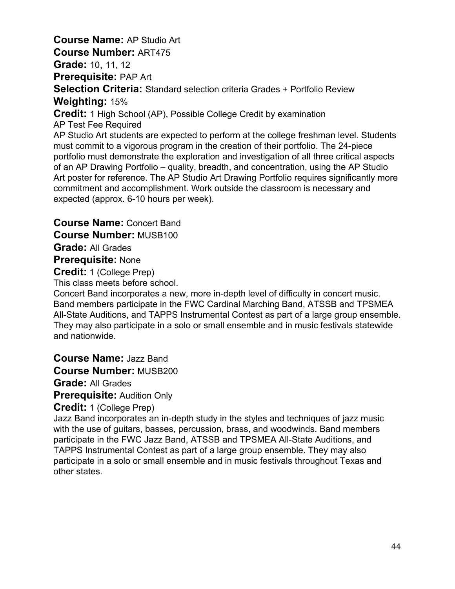**Course Name:** AP Studio Art **Course Number:** ART475 **Grade:** 10, 11, 12 **Prerequisite:** PAP Art **Selection Criteria:** Standard selection criteria Grades + Portfolio Review **Weighting:** 15% **Credit:** 1 High School (AP), Possible College Credit by examination AP Test Fee Required AP Studio Art students are expected to perform at the college freshman level. Students must commit to a vigorous program in the creation of their portfolio. The 24-piece portfolio must demonstrate the exploration and investigation of all three critical aspects of an AP Drawing Portfolio – quality, breadth, and concentration, using the AP Studio Art poster for reference. The AP Studio Art Drawing Portfolio requires significantly more commitment and accomplishment. Work outside the classroom is necessary and expected (approx. 6-10 hours per week).

**Course Name:** Concert Band

**Course Number:** MUSB100

**Grade:** All Grades

**Prerequisite:** None

**Credit:** 1 (College Prep)

This class meets before school.

Concert Band incorporates a new, more in-depth level of difficulty in concert music. Band members participate in the FWC Cardinal Marching Band, ATSSB and TPSMEA All-State Auditions, and TAPPS Instrumental Contest as part of a large group ensemble. They may also participate in a solo or small ensemble and in music festivals statewide and nationwide.

**Course Name:** Jazz Band **Course Number:** MUSB200

**Grade:** All Grades

**Prerequisite:** Audition Only

**Credit:** 1 (College Prep)

Jazz Band incorporates an in-depth study in the styles and techniques of jazz music with the use of guitars, basses, percussion, brass, and woodwinds. Band members participate in the FWC Jazz Band, ATSSB and TPSMEA All-State Auditions, and TAPPS Instrumental Contest as part of a large group ensemble. They may also participate in a solo or small ensemble and in music festivals throughout Texas and other states.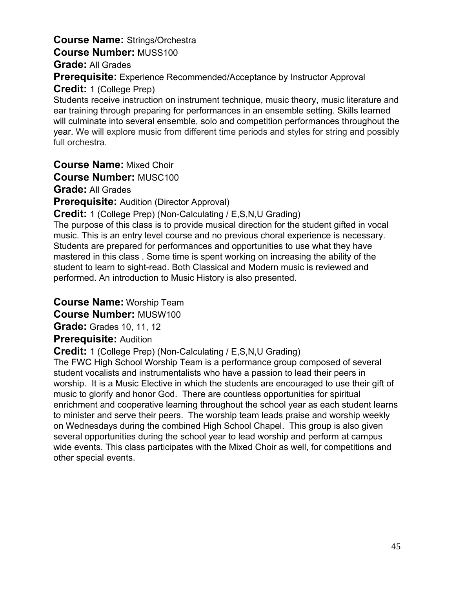# **Course Name:** Strings/Orchestra **Course Number:** MUSS100

**Grade:** All Grades

**Prerequisite:** Experience Recommended/Acceptance by Instructor Approval

**Credit:** 1 (College Prep)

Students receive instruction on instrument technique, music theory, music literature and ear training through preparing for performances in an ensemble setting. Skills learned will culminate into several ensemble, solo and competition performances throughout the year. We will explore music from different time periods and styles for string and possibly full orchestra.

**Course Name:** Mixed Choir

**Course Number:** MUSC100

**Grade:** All Grades

**Prerequisite:** Audition (Director Approval)

**Credit:** 1 (College Prep) (Non-Calculating / E,S,N,U Grading)

The purpose of this class is to provide musical direction for the student gifted in vocal music. This is an entry level course and no previous choral experience is necessary. Students are prepared for performances and opportunities to use what they have mastered in this class . Some time is spent working on increasing the ability of the student to learn to sight-read. Both Classical and Modern music is reviewed and performed. An introduction to Music History is also presented.

**Course Name:** Worship Team

**Course Number:** MUSW100

**Grade:** Grades 10, 11, 12

# **Prerequisite:** Audition

**Credit:** 1 (College Prep) (Non-Calculating / E,S,N,U Grading)

The FWC High School Worship Team is a performance group composed of several student vocalists and instrumentalists who have a passion to lead their peers in worship. It is a Music Elective in which the students are encouraged to use their gift of music to glorify and honor God. There are countless opportunities for spiritual enrichment and cooperative learning throughout the school year as each student learns to minister and serve their peers. The worship team leads praise and worship weekly on Wednesdays during the combined High School Chapel. This group is also given several opportunities during the school year to lead worship and perform at campus wide events. This class participates with the Mixed Choir as well, for competitions and other special events.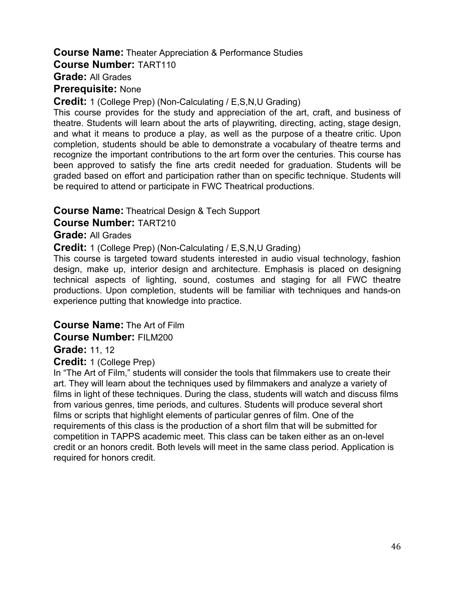# **Course Name:** Theater Appreciation & Performance Studies

**Course Number:** TART110

**Grade:** All Grades

**Prerequisite:** None

**Credit:** 1 (College Prep) (Non-Calculating / E,S,N,U Grading)

This course provides for the study and appreciation of the art, craft, and business of theatre. Students will learn about the arts of playwriting, directing, acting, stage design, and what it means to produce a play, as well as the purpose of a theatre critic. Upon completion, students should be able to demonstrate a vocabulary of theatre terms and recognize the important contributions to the art form over the centuries. This course has been approved to satisfy the fine arts credit needed for graduation. Students will be graded based on effort and participation rather than on specific technique. Students will be required to attend or participate in FWC Theatrical productions.

#### **Course Name:** Theatrical Design & Tech Support

**Course Number:** TART210

#### **Grade:** All Grades

**Credit:** 1 (College Prep) (Non-Calculating / E,S,N,U Grading)

This course is targeted toward students interested in audio visual technology, fashion design, make up, interior design and architecture. Emphasis is placed on designing technical aspects of lighting, sound, costumes and staging for all FWC theatre productions. Upon completion, students will be familiar with techniques and hands-on experience putting that knowledge into practice.

#### **Course Name:** The Art of Film

#### **Course Number:** FILM200

**Grade:** 11, 12

**Credit:** 1 (College Prep)

In "The Art of Film," students will consider the tools that filmmakers use to create their art. They will learn about the techniques used by filmmakers and analyze a variety of films in light of these techniques. During the class, students will watch and discuss films from various genres, time periods, and cultures. Students will produce several short films or scripts that highlight elements of particular genres of film. One of the requirements of this class is the production of a short film that will be submitted for competition in TAPPS academic meet. This class can be taken either as an on-level credit or an honors credit. Both levels will meet in the same class period. Application is required for honors credit.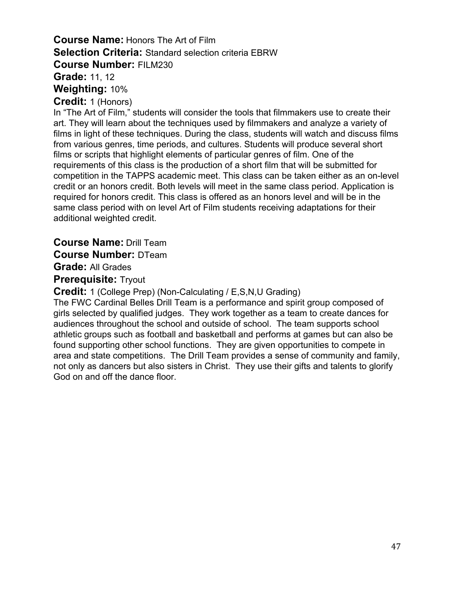## **Course Name:** Honors The Art of Film **Selection Criteria:** Standard selection criteria EBRW **Course Number:** FILM230 **Grade:** 11, 12

**Weighting:** 10%

**Credit:** 1 (Honors)

In "The Art of Film," students will consider the tools that filmmakers use to create their art. They will learn about the techniques used by filmmakers and analyze a variety of films in light of these techniques. During the class, students will watch and discuss films from various genres, time periods, and cultures. Students will produce several short films or scripts that highlight elements of particular genres of film. One of the requirements of this class is the production of a short film that will be submitted for competition in the TAPPS academic meet. This class can be taken either as an on-level credit or an honors credit. Both levels will meet in the same class period. Application is required for honors credit. This class is offered as an honors level and will be in the same class period with on level Art of Film students receiving adaptations for their additional weighted credit.

**Course Name:** Drill Team **Course Number:** DTeam

**Grade:** All Grades

**Prerequisite:** Tryout

**Credit:** 1 (College Prep) (Non-Calculating / E,S,N,U Grading)

The FWC Cardinal Belles Drill Team is a performance and spirit group composed of girls selected by qualified judges. They work together as a team to create dances for audiences throughout the school and outside of school. The team supports school athletic groups such as football and basketball and performs at games but can also be found supporting other school functions. They are given opportunities to compete in area and state competitions. The Drill Team provides a sense of community and family, not only as dancers but also sisters in Christ. They use their gifts and talents to glorify God on and off the dance floor.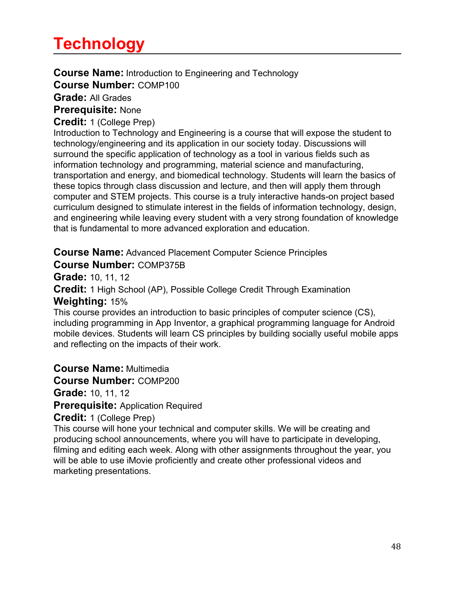# **Technology**

**Course Name:** Introduction to Engineering and Technology **Course Number:** COMP100

**Grade:** All Grades

**Prerequisite:** None

**Credit:** 1 (College Prep)

Introduction to Technology and Engineering is a course that will expose the student to technology/engineering and its application in our society today. Discussions will surround the specific application of technology as a tool in various fields such as information technology and programming, material science and manufacturing, transportation and energy, and biomedical technology. Students will learn the basics of these topics through class discussion and lecture, and then will apply them through computer and STEM projects. This course is a truly interactive hands-on project based curriculum designed to stimulate interest in the fields of information technology, design, and engineering while leaving every student with a very strong foundation of knowledge that is fundamental to more advanced exploration and education.

**Course Name:** Advanced Placement Computer Science Principles **Course Number:** COMP375B

**Grade:** 10, 11, 12

**Credit:** 1 High School (AP), Possible College Credit Through Examination **Weighting:** 15%

This course provides an introduction to basic principles of computer science (CS), including programming in App Inventor, a graphical programming language for Android mobile devices. Students will learn CS principles by building socially useful mobile apps and reflecting on the impacts of their work.

**Course Name:** Multimedia

**Course Number:** COMP200

**Grade:** 10, 11, 12

**Prerequisite:** Application Required

**Credit:** 1 (College Prep)

This course will hone your technical and computer skills. We will be creating and producing school announcements, where you will have to participate in developing, filming and editing each week. Along with other assignments throughout the year, you will be able to use iMovie proficiently and create other professional videos and marketing presentations.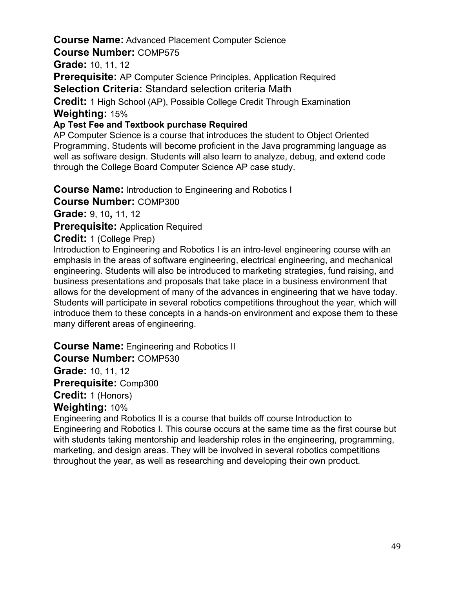# **Course Name:** Advanced Placement Computer Science

**Course Number:** COMP575

**Grade:** 10, 11, 12

**Prerequisite:** AP Computer Science Principles, Application Required

**Selection Criteria:** Standard selection criteria Math

**Credit:** 1 High School (AP), Possible College Credit Through Examination **Weighting:** 15%

### **Ap Test Fee and Textbook purchase Required**

AP Computer Science is a course that introduces the student to Object Oriented Programming. Students will become proficient in the Java programming language as well as software design. Students will also learn to analyze, debug, and extend code through the College Board Computer Science AP case study.

**Course Name:** Introduction to Engineering and Robotics I

**Course Number:** COMP300

**Grade:** 9, 10**,** 11, 12

**Prerequisite:** Application Required

#### **Credit:** 1 (College Prep)

Introduction to Engineering and Robotics I is an intro-level engineering course with an emphasis in the areas of software engineering, electrical engineering, and mechanical engineering. Students will also be introduced to marketing strategies, fund raising, and business presentations and proposals that take place in a business environment that allows for the development of many of the advances in engineering that we have today. Students will participate in several robotics competitions throughout the year, which will introduce them to these concepts in a hands-on environment and expose them to these many different areas of engineering.

**Course Name:** Engineering and Robotics II **Course Number:** COMP530 **Grade:** 10, 11, 12 **Prerequisite:** Comp300 **Credit:** 1 (Honors) **Weighting:** 10%

Engineering and Robotics II is a course that builds off course Introduction to Engineering and Robotics I. This course occurs at the same time as the first course but with students taking mentorship and leadership roles in the engineering, programming, marketing, and design areas. They will be involved in several robotics competitions throughout the year, as well as researching and developing their own product.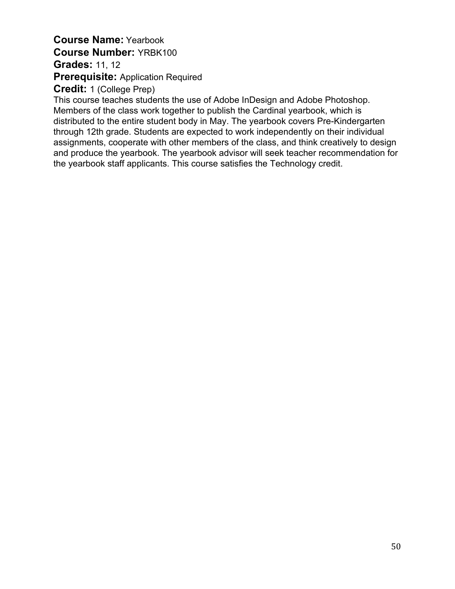# **Course Name:** Yearbook **Course Number:** YRBK100 **Grades:** 11, 12 **Prerequisite:** Application Required

**Credit:** 1 (College Prep)

This course teaches students the use of Adobe InDesign and Adobe Photoshop. Members of the class work together to publish the Cardinal yearbook, which is distributed to the entire student body in May. The yearbook covers Pre-Kindergarten through 12th grade. Students are expected to work independently on their individual assignments, cooperate with other members of the class, and think creatively to design and produce the yearbook. The yearbook advisor will seek teacher recommendation for the yearbook staff applicants. This course satisfies the Technology credit.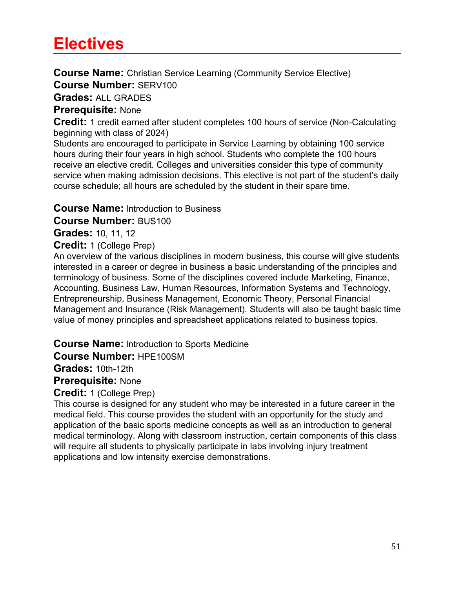# **Electives**

**Course Name:** Christian Service Learning (Community Service Elective) **Course Number:** SERV100

**Grades:** ALL GRADES

### **Prerequisite:** None

**Credit:** 1 credit earned after student completes 100 hours of service (Non-Calculating beginning with class of 2024)

Students are encouraged to participate in Service Learning by obtaining 100 service hours during their four years in high school. Students who complete the 100 hours receive an elective credit. Colleges and universities consider this type of community service when making admission decisions. This elective is not part of the student's daily course schedule; all hours are scheduled by the student in their spare time.

#### **Course Name:** Introduction to Business

**Course Number:** BUS100

**Grades:** 10, 11, 12

#### **Credit:** 1 (College Prep)

An overview of the various disciplines in modern business, this course will give students interested in a career or degree in business a basic understanding of the principles and terminology of business. Some of the disciplines covered include Marketing, Finance, Accounting, Business Law, Human Resources, Information Systems and Technology, Entrepreneurship, Business Management, Economic Theory, Personal Financial Management and Insurance (Risk Management). Students will also be taught basic time value of money principles and spreadsheet applications related to business topics.

**Course Name:** Introduction to Sports Medicine

#### **Course Number:** HPE100SM

**Grades:** 10th-12th

**Prerequisite:** None

**Credit:** 1 (College Prep)

This course is designed for any student who may be interested in a future career in the medical field. This course provides the student with an opportunity for the study and application of the basic sports medicine concepts as well as an introduction to general medical terminology. Along with classroom instruction, certain components of this class will require all students to physically participate in labs involving injury treatment applications and low intensity exercise demonstrations.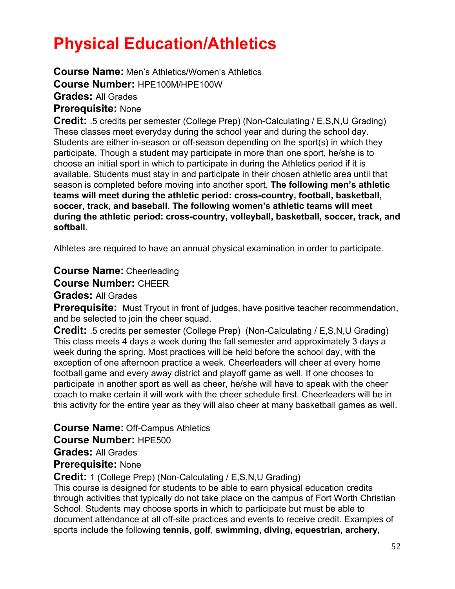# **Physical Education/Athletics**

**Course Name:** Men's Athletics/Women's Athletics

**Course Number:** HPE100M/HPE100W

**Grades:** All Grades

**Prerequisite:** None

**Credit:** .5 credits per semester (College Prep) (Non-Calculating / E,S,N,U Grading) These classes meet everyday during the school year and during the school day. Students are either in-season or off-season depending on the sport(s) in which they participate. Though a student may participate in more than one sport, he/she is to choose an initial sport in which to participate in during the Athletics period if it is available. Students must stay in and participate in their chosen athletic area until that season is completed before moving into another sport. **The following men's athletic teams will meet during the athletic period: cross-country, football, basketball, soccer, track, and baseball. The following women's athletic teams will meet during the athletic period: cross-country, volleyball, basketball, soccer, track, and softball.**

Athletes are required to have an annual physical examination in order to participate.

**Course Name:** Cheerleading

**Course Number:** CHEER

**Grades:** All Grades

**Prerequisite:** Must Tryout in front of judges, have positive teacher recommendation, and be selected to join the cheer squad.

**Credit:** .5 credits per semester (College Prep) (Non-Calculating / E,S,N,U Grading) This class meets 4 days a week during the fall semester and approximately 3 days a week during the spring. Most practices will be held before the school day, with the exception of one afternoon practice a week. Cheerleaders will cheer at every home football game and every away district and playoff game as well. If one chooses to participate in another sport as well as cheer, he/she will have to speak with the cheer coach to make certain it will work with the cheer schedule first. Cheerleaders will be in this activity for the entire year as they will also cheer at many basketball games as well.

**Course Name:** Off-Campus Athletics

**Course Number:** HPE500

**Grades:** All Grades

**Prerequisite:** None

**Credit:** 1 (College Prep) (Non-Calculating / E,S,N,U Grading)

This course is designed for students to be able to earn physical education credits through activities that typically do not take place on the campus of Fort Worth Christian School. Students may choose sports in which to participate but must be able to document attendance at all off-site practices and events to receive credit. Examples of sports include the following **tennis**, **golf**, **swimming, diving, equestrian, archery,**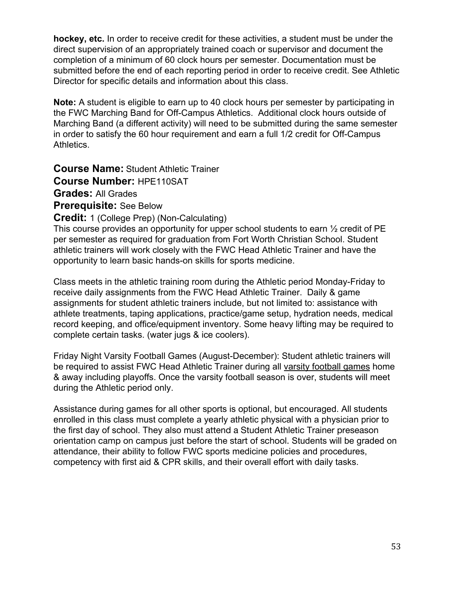**hockey, etc.** In order to receive credit for these activities, a student must be under the direct supervision of an appropriately trained coach or supervisor and document the completion of a minimum of 60 clock hours per semester. Documentation must be submitted before the end of each reporting period in order to receive credit. See Athletic Director for specific details and information about this class.

**Note:** A student is eligible to earn up to 40 clock hours per semester by participating in the FWC Marching Band for Off-Campus Athletics. Additional clock hours outside of Marching Band (a different activity) will need to be submitted during the same semester in order to satisfy the 60 hour requirement and earn a full 1/2 credit for Off-Campus Athletics.

**Course Name:** Student Athletic Trainer **Course Number:** HPE110SAT **Grades:** All Grades

**Prerequisite:** See Below

**Credit:** 1 (College Prep) (Non-Calculating)

This course provides an opportunity for upper school students to earn ½ credit of PE per semester as required for graduation from Fort Worth Christian School. Student athletic trainers will work closely with the FWC Head Athletic Trainer and have the opportunity to learn basic hands-on skills for sports medicine.

Class meets in the athletic training room during the Athletic period Monday-Friday to receive daily assignments from the FWC Head Athletic Trainer. Daily & game assignments for student athletic trainers include, but not limited to: assistance with athlete treatments, taping applications, practice/game setup, hydration needs, medical record keeping, and office/equipment inventory. Some heavy lifting may be required to complete certain tasks. (water jugs & ice coolers).

Friday Night Varsity Football Games (August-December): Student athletic trainers will be required to assist FWC Head Athletic Trainer during all varsity football games home & away including playoffs. Once the varsity football season is over, students will meet during the Athletic period only.

Assistance during games for all other sports is optional, but encouraged. All students enrolled in this class must complete a yearly athletic physical with a physician prior to the first day of school. They also must attend a Student Athletic Trainer preseason orientation camp on campus just before the start of school. Students will be graded on attendance, their ability to follow FWC sports medicine policies and procedures, competency with first aid & CPR skills, and their overall effort with daily tasks.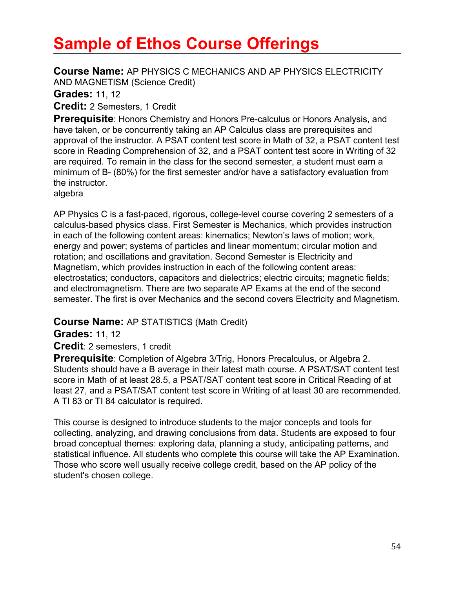# **Sample of Ethos Course Offerings**

**Course Name:** AP PHYSICS C MECHANICS AND AP PHYSICS ELECTRICITY AND MAGNETISM (Science Credit)

**Grades:** 11, 12

**Credit:** 2 Semesters, 1 Credit

**Prerequisite**: Honors Chemistry and Honors Pre-calculus or Honors Analysis, and have taken, or be concurrently taking an AP Calculus class are prerequisites and approval of the instructor. A PSAT content test score in Math of 32, a PSAT content test score in Reading Comprehension of 32, and a PSAT content test score in Writing of 32 are required. To remain in the class for the second semester, a student must earn a minimum of B- (80%) for the first semester and/or have a satisfactory evaluation from the instructor.

algebra

AP Physics C is a fast-paced, rigorous, college-level course covering 2 semesters of a calculus-based physics class. First Semester is Mechanics, which provides instruction in each of the following content areas: kinematics; Newton's laws of motion; work, energy and power; systems of particles and linear momentum; circular motion and rotation; and oscillations and gravitation. Second Semester is Electricity and Magnetism, which provides instruction in each of the following content areas: electrostatics; conductors, capacitors and dielectrics; electric circuits; magnetic fields; and electromagnetism. There are two separate AP Exams at the end of the second semester. The first is over Mechanics and the second covers Electricity and Magnetism.

**Course Name:** AP STATISTICS (Math Credit)

**Grades:** 11, 12

**Credit**: 2 semesters, 1 credit

**Prerequisite**: Completion of Algebra 3/Trig, Honors Precalculus, or Algebra 2. Students should have a B average in their latest math course. A PSAT/SAT content test score in Math of at least 28.5, a PSAT/SAT content test score in Critical Reading of at least 27, and a PSAT/SAT content test score in Writing of at least 30 are recommended. A TI 83 or TI 84 calculator is required.

This course is designed to introduce students to the major concepts and tools for collecting, analyzing, and drawing conclusions from data. Students are exposed to four broad conceptual themes: exploring data, planning a study, anticipating patterns, and statistical influence. All students who complete this course will take the AP Examination. Those who score well usually receive college credit, based on the AP policy of the student's chosen college.